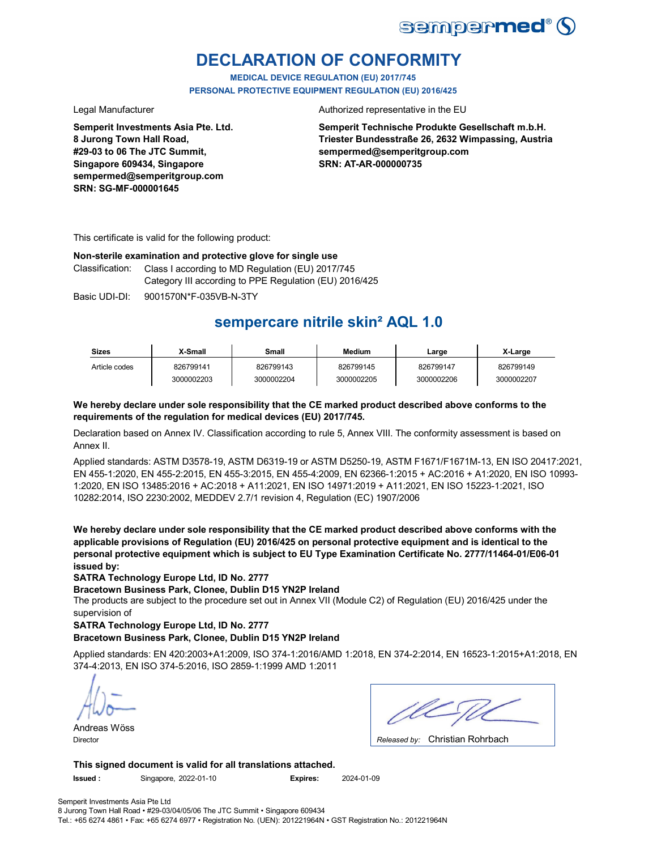

## **DECLARATION OF CONFORMITY**

**MEDICAL DEVICE REGULATION (EU) 2017/745 PERSONAL PROTECTIVE EQUIPMENT REGULATION (EU) 2016/425**

**Semperit Investments Asia Pte. Ltd. 8 Jurong Town Hall Road, #29-03 to 06 The JTC Summit, Singapore 609434, Singapore sempermed@semperitgroup.com SRN: SG-MF-000001645**

Legal Manufacturer **Authorized representative in the EU** 

**Semperit Technische Produkte Gesellschaft m.b.H. Triester Bundesstraße 26, 2632 Wimpassing, Austria sempermed@semperitgroup.com SRN: AT-AR-000000735**

This certificate is valid for the following product:

#### **Non-sterile examination and protective glove for single use**

Class I according to MD Regulation (EU) 2017/745 Category III according to PPE Regulation (EU) 2016/425 Classification:

Basic UDI-DI: 9001570N\*F-035VB-N-3TY

## **sempercare nitrile skin² AQL 1.0**

| <b>Sizes</b>  | X-Small    | Small      | <b>Medium</b> | ∟arge      | X-Large    |
|---------------|------------|------------|---------------|------------|------------|
| Article codes | 826799141  | 826799143  | 826799145     | 826799147  | 826799149  |
|               | 3000002203 | 3000002204 | 3000002205    | 3000002206 | 3000002207 |

### **We hereby declare under sole responsibility that the CE marked product described above conforms to the requirements of the regulation for medical devices (EU) 2017/745.**

Declaration based on Annex IV. Classification according to rule 5, Annex VIII. The conformity assessment is based on Annex II.

Applied standards: ASTM D3578-19, ASTM D6319-19 or ASTM D5250-19, ASTM F1671/F1671M-13, EN ISO 20417:2021, EN 455-1:2020, EN 455-2:2015, EN 455-3:2015, EN 455-4:2009, EN 62366-1:2015 + AC:2016 + A1:2020, EN ISO 10993- 1:2020, EN ISO 13485:2016 + AC:2018 + A11:2021, EN ISO 14971:2019 + A11:2021, EN ISO 15223-1:2021, ISO 10282:2014, ISO 2230:2002, MEDDEV 2.7/1 revision 4, Regulation (EC) 1907/2006

**We hereby declare under sole responsibility that the CE marked product described above conforms with the applicable provisions of Regulation (EU) 2016/425 on personal protective equipment and is identical to the personal protective equipment which is subject to EU Type Examination Certificate No. 2777/11464-01/E06-01 issued by:**

**SATRA Technology Europe Ltd, ID No. 2777**

**Bracetown Business Park, Clonee, Dublin D15 YN2P Ireland**

The products are subject to the procedure set out in Annex VII (Module C2) of Regulation (EU) 2016/425 under the supervision of

### **SATRA Technology Europe Ltd, ID No. 2777**

### **Bracetown Business Park, Clonee, Dublin D15 YN2P Ireland**

Applied standards: EN 420:2003+A1:2009, ISO 374-1:2016/AMD 1:2018, EN 374-2:2014, EN 16523-1:2015+A1:2018, EN 374-4:2013, EN ISO 374-5:2016, ISO 2859-1:1999 AMD 1:2011

Andreas Wöss

Christian Rohrbach Director *Released by:* 

**This signed document is valid for all translations attached.**

**Issued :** Singapore, 2022-01-10 **Expires:** 2024-01-09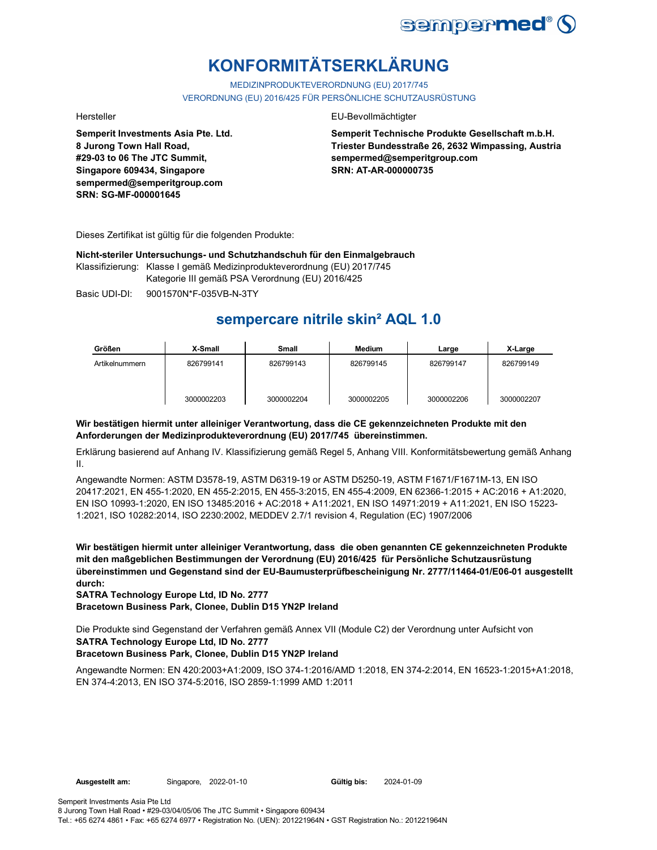

# **KONFORMITÄTSERKLÄRUNG**

MEDIZINPRODUKTEVERORDNUNG (EU) 2017/745 VERORDNUNG (EU) 2016/425 FÜR PERSÖNLICHE SCHUTZAUSRÜSTUNG

**Semperit Investments Asia Pte. Ltd. 8 Jurong Town Hall Road, #29-03 to 06 The JTC Summit, Singapore 609434, Singapore sempermed@semperitgroup.com SRN: SG-MF-000001645**

#### Hersteller EU-Bevollmächtigter

**Semperit Technische Produkte Gesellschaft m.b.H. Triester Bundesstraße 26, 2632 Wimpassing, Austria sempermed@semperitgroup.com SRN: AT-AR-000000735**

Dieses Zertifikat ist gültig für die folgenden Produkte:

**Nicht-steriler Untersuchungs- und Schutzhandschuh für den Einmalgebrauch**

Klassifizierung: Klasse I gemäß Medizinprodukteverordnung (EU) 2017/745 Kategorie III gemäß PSA Verordnung (EU) 2016/425

Basic UDI-DI: 9001570N\*F-035VB-N-3TY 9001570N\*F-035VB-N

## **sempercare nitrile skin² AQL 1.0**

| Größen         | X-Small    | Small      | <b>Medium</b> | Large      | X-Large    |
|----------------|------------|------------|---------------|------------|------------|
| Artikelnummern | 826799141  | 826799143  | 826799145     | 826799147  | 826799149  |
|                | 3000002203 | 3000002204 | 3000002205    | 3000002206 | 3000002207 |

### **Wir bestätigen hiermit unter alleiniger Verantwortung, dass die CE gekennzeichneten Produkte mit den Anforderungen der Medizinprodukteverordnung (EU) 2017/745 übereinstimmen.**

Erklärung basierend auf Anhang IV. Klassifizierung gemäß Regel 5, Anhang VIII. Konformitätsbewertung gemäß Anhang II.

Angewandte Normen: ASTM D3578-19, ASTM D6319-19 or ASTM D5250-19, ASTM F1671/F1671M-13, EN ISO 20417:2021, EN 455-1:2020, EN 455-2:2015, EN 455-3:2015, EN 455-4:2009, EN 62366-1:2015 + AC:2016 + A1:2020, EN ISO 10993-1:2020, EN ISO 13485:2016 + AC:2018 + A11:2021, EN ISO 14971:2019 + A11:2021, EN ISO 15223- 1:2021, ISO 10282:2014, ISO 2230:2002, MEDDEV 2.7/1 revision 4, Regulation (EC) 1907/2006

**Wir bestätigen hiermit unter alleiniger Verantwortung, dass die oben genannten CE gekennzeichneten Produkte mit den maßgeblichen Bestimmungen der Verordnung (EU) 2016/425 für Persönliche Schutzausrüstung übereinstimmen und Gegenstand sind der EU-Baumusterprüfbescheinigung Nr. 2777/11464-01/E06-01 ausgestellt durch:**

**SATRA Technology Europe Ltd, ID No. 2777**

**Bracetown Business Park, Clonee, Dublin D15 YN2P Ireland**

Die Produkte sind Gegenstand der Verfahren gemäß Annex VII (Module C2) der Verordnung unter Aufsicht von **SATRA Technology Europe Ltd, ID No. 2777**

### **Bracetown Business Park, Clonee, Dublin D15 YN2P Ireland**

Angewandte Normen: EN 420:2003+A1:2009, ISO 374-1:2016/AMD 1:2018, EN 374-2:2014, EN 16523-1:2015+A1:2018, EN 374-4:2013, EN ISO 374-5:2016, ISO 2859-1:1999 AMD 1:2011

Gültig bis: 2024-01-09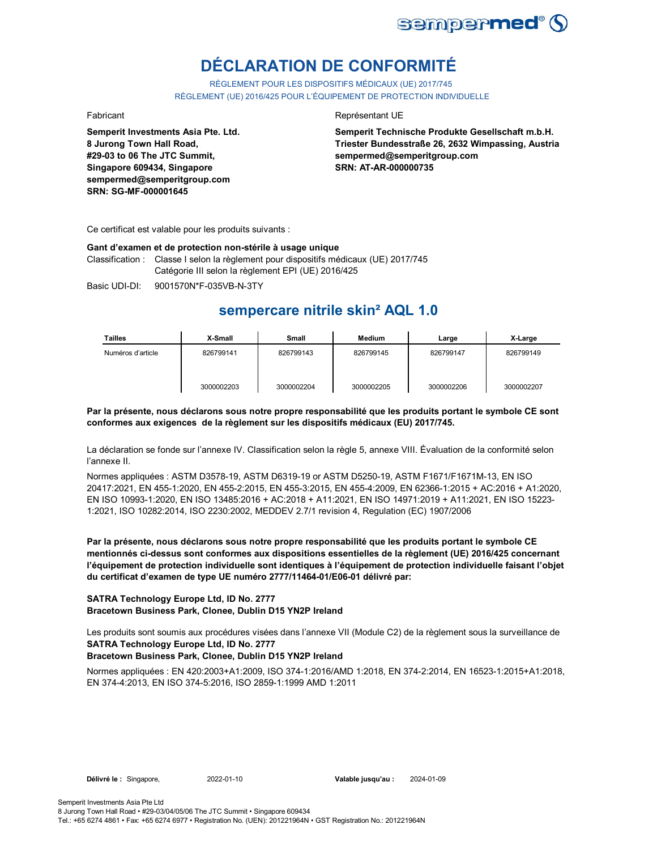

# **DÉCLARATION DE CONFORMITÉ**

RÈGLEMENT POUR LES DISPOSITIFS MÉDICAUX (UE) 2017/745 RÈGLEMENT (UE) 2016/425 POUR L'ÉQUIPEMENT DE PROTECTION INDIVIDUELLE

**Semperit Investments Asia Pte. Ltd. 8 Jurong Town Hall Road, #29-03 to 06 The JTC Summit, Singapore 609434, Singapore sempermed@semperitgroup.com SRN: SG-MF-000001645**

#### Fabricant **Représentant UE**

**Semperit Technische Produkte Gesellschaft m.b.H. Triester Bundesstraße 26, 2632 Wimpassing, Austria sempermed@semperitgroup.com SRN: AT-AR-000000735**

Ce certificat est valable pour les produits suivants :

#### **Gant d'examen et de protection non-stérile à usage unique**

Classification : Classe I selon la règlement pour dispositifs médicaux (UE) 2017/745 Catégorie III selon la règlement EPI (UE) 2016/425

Basic UDI-DI: 9001570N\*F-035VB-N-3TY

## **sempercare nitrile skin² AQL 1.0**

| <b>Tailles</b>    | X-Small    | Small      | <b>Medium</b> | Large      | X-Large    |
|-------------------|------------|------------|---------------|------------|------------|
| Numéros d'article | 826799141  | 826799143  | 826799145     | 826799147  | 826799149  |
|                   | 3000002203 | 3000002204 | 3000002205    | 3000002206 | 3000002207 |

#### **Par la présente, nous déclarons sous notre propre responsabilité que les produits portant le symbole CE sont conformes aux exigences de la règlement sur les dispositifs médicaux (EU) 2017/745.**

La déclaration se fonde sur l'annexe IV. Classification selon la règle 5, annexe VIII. Évaluation de la conformité selon l'annexe II.

Normes appliquées : ASTM D3578-19, ASTM D6319-19 or ASTM D5250-19, ASTM F1671/F1671M-13, EN ISO 20417:2021, EN 455-1:2020, EN 455-2:2015, EN 455-3:2015, EN 455-4:2009, EN 62366-1:2015 + AC:2016 + A1:2020, EN ISO 10993-1:2020, EN ISO 13485:2016 + AC:2018 + A11:2021, EN ISO 14971:2019 + A11:2021, EN ISO 15223- 1:2021, ISO 10282:2014, ISO 2230:2002, MEDDEV 2.7/1 revision 4, Regulation (EC) 1907/2006

**Par la présente, nous déclarons sous notre propre responsabilité que les produits portant le symbole CE mentionnés ci-dessus sont conformes aux dispositions essentielles de la règlement (UE) 2016/425 concernant l'équipement de protection individuelle sont identiques à l'équipement de protection individuelle faisant l'objet du certificat d'examen de type UE numéro 2777/11464-01/E06-01 délivré par:**

#### **SATRA Technology Europe Ltd, ID No. 2777 Bracetown Business Park, Clonee, Dublin D15 YN2P Ireland**

Les produits sont soumis aux procédures visées dans l'annexe VII (Module C2) de la règlement sous la surveillance de **SATRA Technology Europe Ltd, ID No. 2777**

### **Bracetown Business Park, Clonee, Dublin D15 YN2P Ireland**

Normes appliquées : EN 420:2003+A1:2009, ISO 374-1:2016/AMD 1:2018, EN 374-2:2014, EN 16523-1:2015+A1:2018, EN 374-4:2013, EN ISO 374-5:2016, ISO 2859-1:1999 AMD 1:2011

**Délivré le :** Singapore, 2022-01-10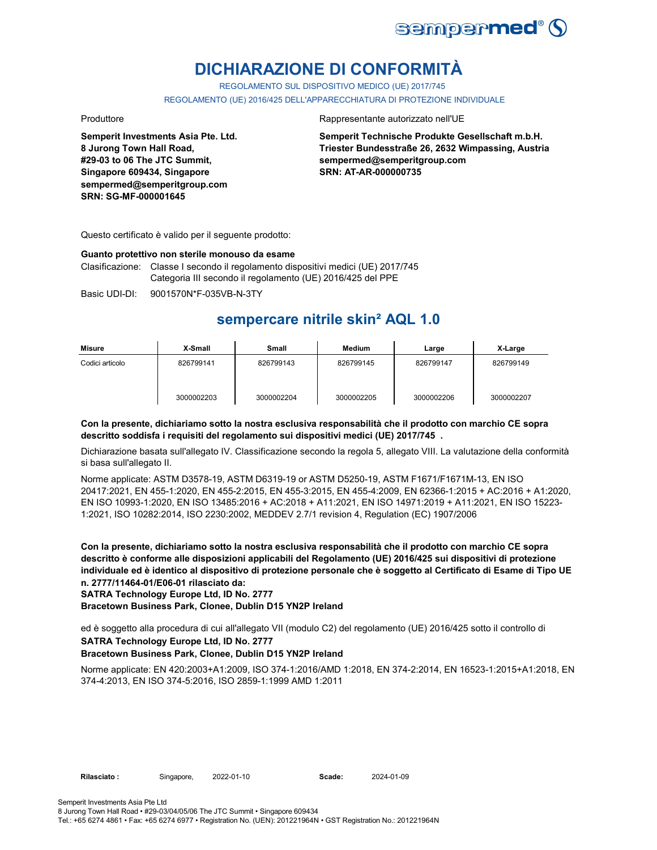

## **DICHIARAZIONE DI CONFORMITÀ**

REGOLAMENTO SUL DISPOSITIVO MEDICO (UE) 2017/745

REGOLAMENTO (UE) 2016/425 DELL'APPARECCHIATURA DI PROTEZIONE INDIVIDUALE

**Semperit Investments Asia Pte. Ltd. 8 Jurong Town Hall Road, #29-03 to 06 The JTC Summit, Singapore 609434, Singapore sempermed@semperitgroup.com SRN: SG-MF-000001645**

#### Produttore **Rappresentante autorizzato nell'UE**

**Semperit Technische Produkte Gesellschaft m.b.H. Triester Bundesstraße 26, 2632 Wimpassing, Austria sempermed@semperitgroup.com SRN: AT-AR-000000735**

Questo certificato è valido per il seguente prodotto:

#### **Guanto protettivo non sterile monouso da esame**

Clasificazione: Classe I secondo il regolamento dispositivi medici (UE) 2017/745 Categoria III secondo il regolamento (UE) 2016/425 del PPE

Basic UDI-DI: 9001570N\*F-035VB-N-3TY

## **sempercare nitrile skin² AQL 1.0**

| Misure          | X-Small    | Small      | Medium     | Large      | X-Large    |
|-----------------|------------|------------|------------|------------|------------|
| Codici articolo | 826799141  | 826799143  | 826799145  | 826799147  | 826799149  |
|                 | 3000002203 | 3000002204 | 3000002205 | 3000002206 | 3000002207 |

#### **Con la presente, dichiariamo sotto la nostra esclusiva responsabilità che il prodotto con marchio CE sopra descritto soddisfa i requisiti del regolamento sui dispositivi medici (UE) 2017/745 .**

Dichiarazione basata sull'allegato IV. Classificazione secondo la regola 5, allegato VIII. La valutazione della conformità si basa sull'allegato II.

Norme applicate: ASTM D3578-19, ASTM D6319-19 or ASTM D5250-19, ASTM F1671/F1671M-13, EN ISO 20417:2021, EN 455-1:2020, EN 455-2:2015, EN 455-3:2015, EN 455-4:2009, EN 62366-1:2015 + AC:2016 + A1:2020, EN ISO 10993-1:2020, EN ISO 13485:2016 + AC:2018 + A11:2021, EN ISO 14971:2019 + A11:2021, EN ISO 15223- 1:2021, ISO 10282:2014, ISO 2230:2002, MEDDEV 2.7/1 revision 4, Regulation (EC) 1907/2006

**Con la presente, dichiariamo sotto la nostra esclusiva responsabilità che il prodotto con marchio CE sopra descritto è conforme alle disposizioni applicabili del Regolamento (UE) 2016/425 sui dispositivi di protezione individuale ed è identico al dispositivo di protezione personale che è soggetto al Certificato di Esame di Tipo UE n. 2777/11464-01/E06-01 rilasciato da:**

**SATRA Technology Europe Ltd, ID No. 2777**

**Bracetown Business Park, Clonee, Dublin D15 YN2P Ireland**

ed è soggetto alla procedura di cui all'allegato VII (modulo C2) del regolamento (UE) 2016/425 sotto il controllo di **SATRA Technology Europe Ltd, ID No. 2777**

#### **Bracetown Business Park, Clonee, Dublin D15 YN2P Ireland**

Norme applicate: EN 420:2003+A1:2009, ISO 374-1:2016/AMD 1:2018, EN 374-2:2014, EN 16523-1:2015+A1:2018, EN 374-4:2013, EN ISO 374-5:2016, ISO 2859-1:1999 AMD 1:2011

2022-01-10 **Scade:** 2024-01-09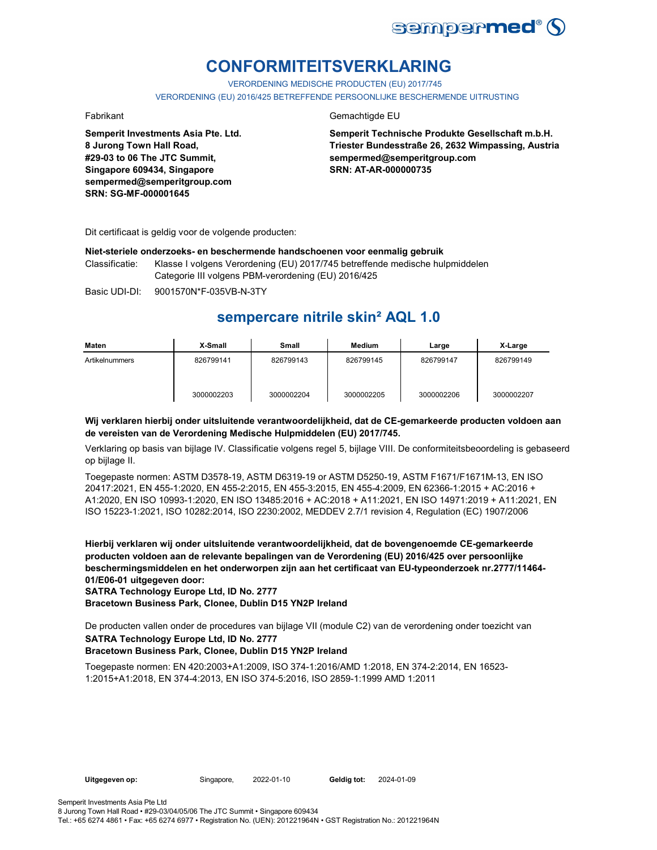

## **CONFORMITEITSVERKLARING**

VERORDENING MEDISCHE PRODUCTEN (EU) 2017/745 VERORDENING (EU) 2016/425 BETREFFENDE PERSOONLIJKE BESCHERMENDE UITRUSTING

**Semperit Investments Asia Pte. Ltd. 8 Jurong Town Hall Road, #29-03 to 06 The JTC Summit, Singapore 609434, Singapore sempermed@semperitgroup.com SRN: SG-MF-000001645**

### Fabrikant Gemachtigde EU

**Semperit Technische Produkte Gesellschaft m.b.H. Triester Bundesstraße 26, 2632 Wimpassing, Austria sempermed@semperitgroup.com SRN: AT-AR-000000735**

Dit certificaat is geldig voor de volgende producten:

#### **Niet-steriele onderzoeks- en beschermende handschoenen voor eenmalig gebruik**

Classificatie: Klasse I volgens Verordening (EU) 2017/745 betreffende medische hulpmiddelen Categorie III volgens PBM-verordening (EU) 2016/425

Basic UDI-DI: 9001570N\*F-035VB-N-3TY

## **sempercare nitrile skin² AQL 1.0**

| Maten          | X-Small    | Small      | <b>Medium</b> | Large      | X-Large    |
|----------------|------------|------------|---------------|------------|------------|
| Artikelnummers | 826799141  | 826799143  | 826799145     | 826799147  | 826799149  |
|                | 3000002203 | 3000002204 | 3000002205    | 3000002206 | 3000002207 |

### **Wij verklaren hierbij onder uitsluitende verantwoordelijkheid, dat de CE-gemarkeerde producten voldoen aan de vereisten van de Verordening Medische Hulpmiddelen (EU) 2017/745.**

Verklaring op basis van bijlage IV. Classificatie volgens regel 5, bijlage VIII. De conformiteitsbeoordeling is gebaseerd op bijlage II.

Toegepaste normen: ASTM D3578-19, ASTM D6319-19 or ASTM D5250-19, ASTM F1671/F1671M-13, EN ISO 20417:2021, EN 455-1:2020, EN 455-2:2015, EN 455-3:2015, EN 455-4:2009, EN 62366-1:2015 + AC:2016 + A1:2020, EN ISO 10993-1:2020, EN ISO 13485:2016 + AC:2018 + A11:2021, EN ISO 14971:2019 + A11:2021, EN ISO 15223-1:2021, ISO 10282:2014, ISO 2230:2002, MEDDEV 2.7/1 revision 4, Regulation (EC) 1907/2006

**Hierbij verklaren wij onder uitsluitende verantwoordelijkheid, dat de bovengenoemde CE-gemarkeerde producten voldoen aan de relevante bepalingen van de Verordening (EU) 2016/425 over persoonlijke beschermingsmiddelen en het onderworpen zijn aan het certificaat van EU-typeonderzoek nr.2777/11464- 01/E06-01 uitgegeven door:**

**SATRA Technology Europe Ltd, ID No. 2777**

**Bracetown Business Park, Clonee, Dublin D15 YN2P Ireland**

De producten vallen onder de procedures van bijlage VII (module C2) van de verordening onder toezicht van

### **SATRA Technology Europe Ltd, ID No. 2777**

### **Bracetown Business Park, Clonee, Dublin D15 YN2P Ireland**

Toegepaste normen: EN 420:2003+A1:2009, ISO 374-1:2016/AMD 1:2018, EN 374-2:2014, EN 16523- 1:2015+A1:2018, EN 374-4:2013, EN ISO 374-5:2016, ISO 2859-1:1999 AMD 1:2011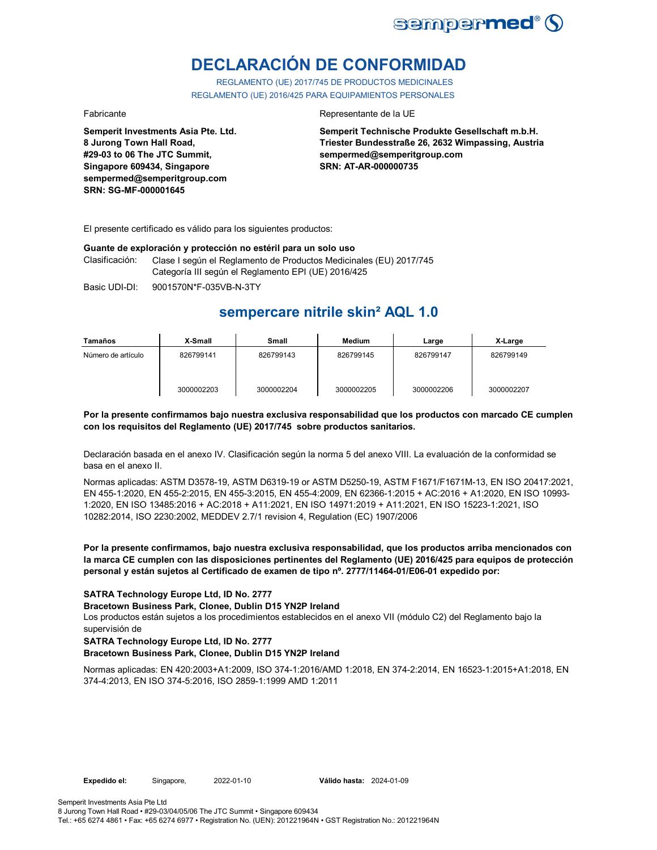

# **DECLARACIÓN DE CONFORMIDAD**

REGLAMENTO (UE) 2017/745 DE PRODUCTOS MEDICINALES REGLAMENTO (UE) 2016/425 PARA EQUIPAMIENTOS PERSONALES

**Semperit Investments Asia Pte. Ltd. 8 Jurong Town Hall Road, #29-03 to 06 The JTC Summit, Singapore 609434, Singapore sempermed@semperitgroup.com SRN: SG-MF-000001645**

#### Fabricante **Representante de la UE**

**Semperit Technische Produkte Gesellschaft m.b.H. Triester Bundesstraße 26, 2632 Wimpassing, Austria sempermed@semperitgroup.com SRN: AT-AR-000000735**

El presente certificado es válido para los siguientes productos:

#### **Guante de exploración y protección no estéril para un solo uso**

Clasificación: Clase I según el Reglamento de Productos Medicinales (EU) 2017/745 Categoría III según el Reglamento EPI (UE) 2016/425

Basic UDI-DI: 9001570N\*F-035VB-N-3TY 9001570N\*F-035VB-N-3T

## **sempercare nitrile skin² AQL 1.0**

| Tamaños            | X-Small    | Small      | Medium     | Large      | X-Large    |
|--------------------|------------|------------|------------|------------|------------|
| Número de artículo | 826799141  | 826799143  | 826799145  | 826799147  | 826799149  |
|                    | 3000002203 | 3000002204 | 3000002205 | 3000002206 | 3000002207 |

#### **Por la presente confirmamos bajo nuestra exclusiva responsabilidad que los productos con marcado CE cumplen con los requisitos del Reglamento (UE) 2017/745 sobre productos sanitarios.**

Declaración basada en el anexo IV. Clasificación según la norma 5 del anexo VIII. La evaluación de la conformidad se basa en el anexo II.

Normas aplicadas: ASTM D3578-19, ASTM D6319-19 or ASTM D5250-19, ASTM F1671/F1671M-13, EN ISO 20417:2021, EN 455-1:2020, EN 455-2:2015, EN 455-3:2015, EN 455-4:2009, EN 62366-1:2015 + AC:2016 + A1:2020, EN ISO 10993- 1:2020, EN ISO 13485:2016 + AC:2018 + A11:2021, EN ISO 14971:2019 + A11:2021, EN ISO 15223-1:2021, ISO 10282:2014, ISO 2230:2002, MEDDEV 2.7/1 revision 4, Regulation (EC) 1907/2006

**Por la presente confirmamos, bajo nuestra exclusiva responsabilidad, que los productos arriba mencionados con la marca CE cumplen con las disposiciones pertinentes del Reglamento (UE) 2016/425 para equipos de protección personal y están sujetos al Certificado de examen de tipo nº. 2777/11464-01/E06-01 expedido por:**

#### **SATRA Technology Europe Ltd, ID No. 2777**

**Bracetown Business Park, Clonee, Dublin D15 YN2P Ireland**

Los productos están sujetos a los procedimientos establecidos en el anexo VII (módulo C2) del Reglamento bajo la supervisión de

### **SATRA Technology Europe Ltd, ID No. 2777**

#### **Bracetown Business Park, Clonee, Dublin D15 YN2P Ireland**

Normas aplicadas: EN 420:2003+A1:2009, ISO 374-1:2016/AMD 1:2018, EN 374-2:2014, EN 16523-1:2015+A1:2018, EN 374-4:2013, EN ISO 374-5:2016, ISO 2859-1:1999 AMD 1:2011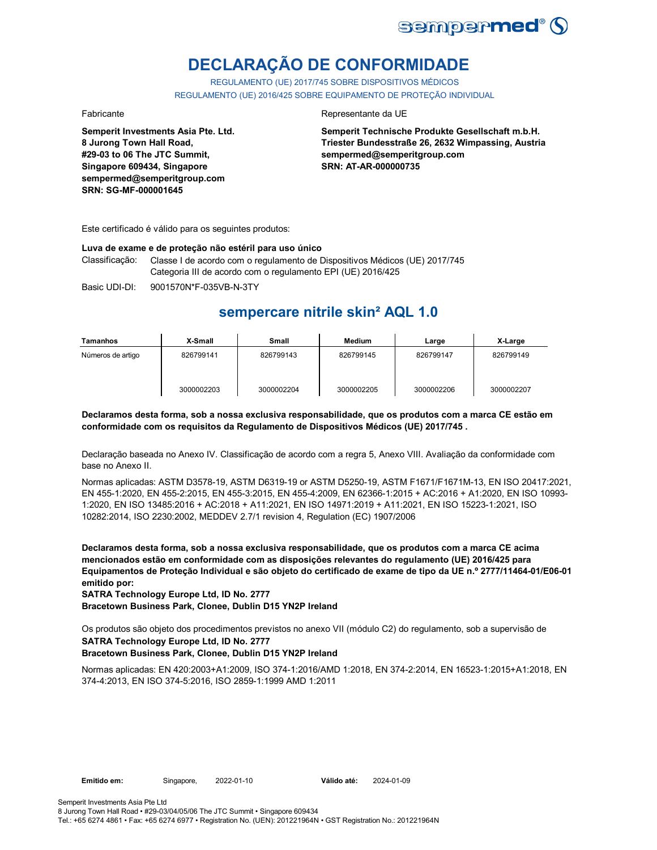

# **DECLARAÇÃO DE CONFORMIDADE**

REGULAMENTO (UE) 2017/745 SOBRE DISPOSITIVOS MÉDICOS REGULAMENTO (UE) 2016/425 SOBRE EQUIPAMENTO DE PROTEÇÃO INDIVIDUAL

**Semperit Investments Asia Pte. Ltd. 8 Jurong Town Hall Road, #29-03 to 06 The JTC Summit, Singapore 609434, Singapore sempermed@semperitgroup.com SRN: SG-MF-000001645**

#### Fabricante da UE

**Semperit Technische Produkte Gesellschaft m.b.H. Triester Bundesstraße 26, 2632 Wimpassing, Austria sempermed@semperitgroup.com SRN: AT-AR-000000735**

Este certificado é válido para os seguintes produtos:

#### **Luva de exame e de proteção não estéril para uso único**

Classificação: Classe I de acordo com o regulamento de Dispositivos Médicos (UE) 2017/745 Categoria III de acordo com o regulamento EPI (UE) 2016/425

Basic UDI-DI: 9001570N\*F-035VB-N-3TY 9001570N\*F-035VB-N-3T

## **sempercare nitrile skin² AQL 1.0**

| Tamanhos          | X-Small    | Small      | <b>Medium</b> | Large      | X-Large    |
|-------------------|------------|------------|---------------|------------|------------|
| Números de artigo | 826799141  | 826799143  | 826799145     | 826799147  | 826799149  |
|                   | 3000002203 | 3000002204 | 3000002205    | 3000002206 | 3000002207 |

#### **Declaramos desta forma, sob a nossa exclusiva responsabilidade, que os produtos com a marca CE estão em conformidade com os requisitos da Regulamento de Dispositivos Médicos (UE) 2017/745 .**

Declaração baseada no Anexo IV. Classificação de acordo com a regra 5, Anexo VIII. Avaliação da conformidade com base no Anexo II.

Normas aplicadas: ASTM D3578-19, ASTM D6319-19 or ASTM D5250-19, ASTM F1671/F1671M-13, EN ISO 20417:2021, EN 455-1:2020, EN 455-2:2015, EN 455-3:2015, EN 455-4:2009, EN 62366-1:2015 + AC:2016 + A1:2020, EN ISO 10993- 1:2020, EN ISO 13485:2016 + AC:2018 + A11:2021, EN ISO 14971:2019 + A11:2021, EN ISO 15223-1:2021, ISO 10282:2014, ISO 2230:2002, MEDDEV 2.7/1 revision 4, Regulation (EC) 1907/2006

**Declaramos desta forma, sob a nossa exclusiva responsabilidade, que os produtos com a marca CE acima mencionados estão em conformidade com as disposições relevantes do regulamento (UE) 2016/425 para Equipamentos de Proteção Individual e são objeto do certificado de exame de tipo da UE n.º 2777/11464-01/E06-01 emitido por:**

**SATRA Technology Europe Ltd, ID No. 2777**

**Bracetown Business Park, Clonee, Dublin D15 YN2P Ireland**

Os produtos são objeto dos procedimentos previstos no anexo VII (módulo C2) do regulamento, sob a supervisão de

### **SATRA Technology Europe Ltd, ID No. 2777**

### **Bracetown Business Park, Clonee, Dublin D15 YN2P Ireland**

Normas aplicadas: EN 420:2003+A1:2009, ISO 374-1:2016/AMD 1:2018, EN 374-2:2014, EN 16523-1:2015+A1:2018, EN 374-4:2013, EN ISO 374-5:2016, ISO 2859-1:1999 AMD 1:2011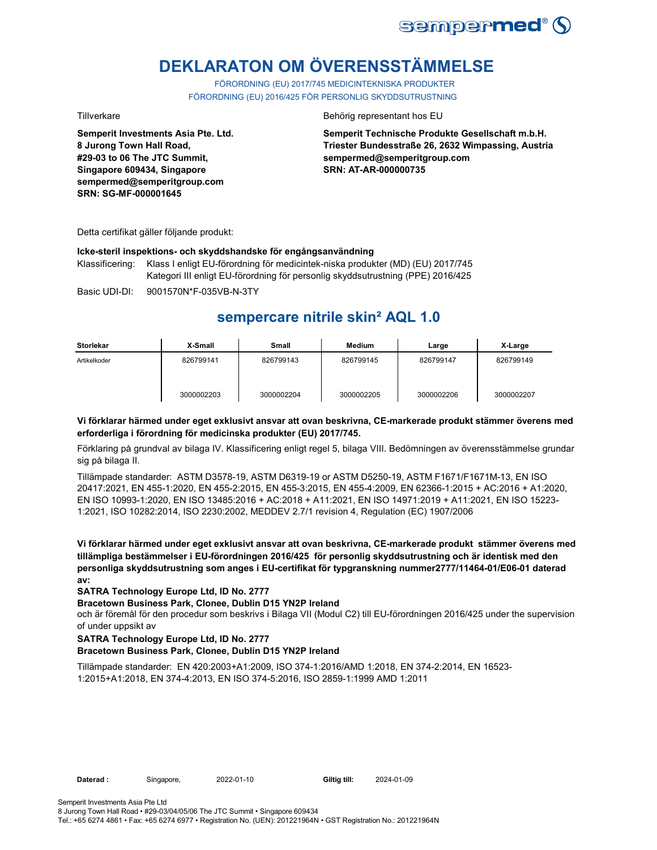

# **DEKLARATON OM ÖVERENSSTÄMMELSE**

FÖRORDNING (EU) 2017/745 MEDICINTEKNISKA PRODUKTER FÖRORDNING (EU) 2016/425 FÖR PERSONLIG SKYDDSUTRUSTNING

**Semperit Investments Asia Pte. Ltd. 8 Jurong Town Hall Road, #29-03 to 06 The JTC Summit, Singapore 609434, Singapore sempermed@semperitgroup.com SRN: SG-MF-000001645**

#### Tillverkare Behörig representant hos EU

**Semperit Technische Produkte Gesellschaft m.b.H. Triester Bundesstraße 26, 2632 Wimpassing, Austria sempermed@semperitgroup.com SRN: AT-AR-000000735**

Detta certifikat gäller följande produkt:

#### **Icke-steril inspektions- och skyddshandske för engångsanvändning**

Klassificering: Klass I enligt EU-förordning för medicintek-niska produkter (MD) (EU) 2017/745 Kategori III enligt EU-förordning för personlig skyddsutrustning (PPE) 2016/425

Basic UDI-DI: 9001570N\*F-035VB-N-3TY

## **sempercare nitrile skin² AQL 1.0**

| <b>Storlekar</b> | X-Small    | <b>Small</b> | <b>Medium</b> | Large      | X-Large    |
|------------------|------------|--------------|---------------|------------|------------|
| Artikelkoder     | 826799141  | 826799143    | 826799145     | 826799147  | 826799149  |
|                  | 3000002203 | 3000002204   | 3000002205    | 3000002206 | 3000002207 |

### **Vi förklarar härmed under eget exklusivt ansvar att ovan beskrivna, CE-markerade produkt stämmer överens med erforderliga i förordning för medicinska produkter (EU) 2017/745.**

Förklaring på grundval av bilaga IV. Klassificering enligt regel 5, bilaga VIII. Bedömningen av överensstämmelse grundar sig på bilaga II.

Tillämpade standarder: ASTM D3578-19, ASTM D6319-19 or ASTM D5250-19, ASTM F1671/F1671M-13, EN ISO 20417:2021, EN 455-1:2020, EN 455-2:2015, EN 455-3:2015, EN 455-4:2009, EN 62366-1:2015 + AC:2016 + A1:2020, EN ISO 10993-1:2020, EN ISO 13485:2016 + AC:2018 + A11:2021, EN ISO 14971:2019 + A11:2021, EN ISO 15223- 1:2021, ISO 10282:2014, ISO 2230:2002, MEDDEV 2.7/1 revision 4, Regulation (EC) 1907/2006

**Vi förklarar härmed under eget exklusivt ansvar att ovan beskrivna, CE-markerade produkt stämmer överens med tillämpliga bestämmelser i EU-förordningen 2016/425 för personlig skyddsutrustning och är identisk med den personliga skyddsutrustning som anges i EU-certifikat för typgranskning nummer2777/11464-01/E06-01 daterad av:**

### **SATRA Technology Europe Ltd, ID No. 2777**

### **Bracetown Business Park, Clonee, Dublin D15 YN2P Ireland**

och är föremål för den procedur som beskrivs i Bilaga VII (Modul C2) till EU-förordningen 2016/425 under the supervision of under uppsikt av

### **SATRA Technology Europe Ltd, ID No. 2777**

### **Bracetown Business Park, Clonee, Dublin D15 YN2P Ireland**

Tillämpade standarder: EN 420:2003+A1:2009, ISO 374-1:2016/AMD 1:2018, EN 374-2:2014, EN 16523- 1:2015+A1:2018, EN 374-4:2013, EN ISO 374-5:2016, ISO 2859-1:1999 AMD 1:2011

2024-01-09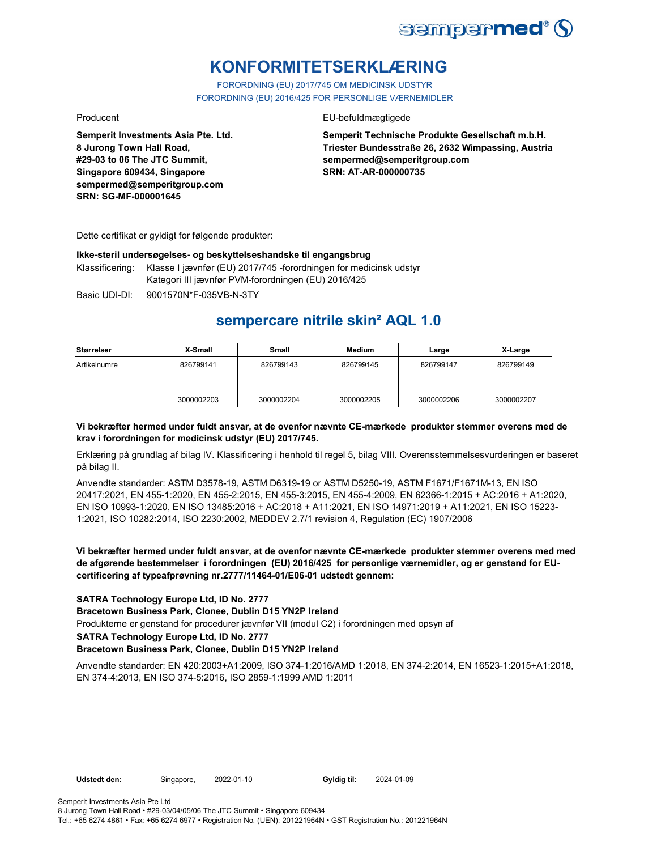

## **KONFORMITETSERKLÆRING**

FORORDNING (EU) 2017/745 OM MEDICINSK UDSTYR FORORDNING (EU) 2016/425 FOR PERSONLIGE VÆRNEMIDLER

Producent **EU-befuldmægtigede** 

**Semperit Technische Produkte Gesellschaft m.b.H. Triester Bundesstraße 26, 2632 Wimpassing, Austria sempermed@semperitgroup.com SRN: AT-AR-000000735**

**Semperit Investments Asia Pte. Ltd. 8 Jurong Town Hall Road, #29-03 to 06 The JTC Summit, Singapore 609434, Singapore sempermed@semperitgroup.com SRN: SG-MF-000001645**

Dette certifikat er gyldigt for følgende produkter:

#### **Ikke-steril undersøgelses- og beskyttelseshandske til engangsbrug**

Klassificering: Klasse I jævnfør (EU) 2017/745 -forordningen for medicinsk udstyr Kategori III jævnfør PVM-forordningen (EU) 2016/425

Basic UDI-DI: 9001570N\*F-035VB-N-3TY

## **sempercare nitrile skin² AQL 1.0**

| Størrelser   | X-Small    | Small      | <b>Medium</b> | Large      | X-Large    |
|--------------|------------|------------|---------------|------------|------------|
| Artikelnumre | 826799141  | 826799143  | 826799145     | 826799147  | 826799149  |
|              | 3000002203 | 3000002204 | 3000002205    | 3000002206 | 3000002207 |

### **Vi bekræfter hermed under fuldt ansvar, at de ovenfor nævnte CE-mærkede produkter stemmer overens med de krav i forordningen for medicinsk udstyr (EU) 2017/745.**

Erklæring på grundlag af bilag IV. Klassificering i henhold til regel 5, bilag VIII. Overensstemmelsesvurderingen er baseret på bilag II.

Anvendte standarder: ASTM D3578-19, ASTM D6319-19 or ASTM D5250-19, ASTM F1671/F1671M-13, EN ISO 20417:2021, EN 455-1:2020, EN 455-2:2015, EN 455-3:2015, EN 455-4:2009, EN 62366-1:2015 + AC:2016 + A1:2020, EN ISO 10993-1:2020, EN ISO 13485:2016 + AC:2018 + A11:2021, EN ISO 14971:2019 + A11:2021, EN ISO 15223- 1:2021, ISO 10282:2014, ISO 2230:2002, MEDDEV 2.7/1 revision 4, Regulation (EC) 1907/2006

### **Vi bekræfter hermed under fuldt ansvar, at de ovenfor nævnte CE-mærkede produkter stemmer overens med med de afgørende bestemmelser i forordningen (EU) 2016/425 for personlige værnemidler, og er genstand for EUcertificering af typeafprøvning nr.2777/11464-01/E06-01 udstedt gennem:**

### **SATRA Technology Europe Ltd, ID No. 2777**

**Bracetown Business Park, Clonee, Dublin D15 YN2P Ireland**

Produkterne er genstand for procedurer jævnfør VII (modul C2) i forordningen med opsyn af

**SATRA Technology Europe Ltd, ID No. 2777**

#### **Bracetown Business Park, Clonee, Dublin D15 YN2P Ireland**

Anvendte standarder: EN 420:2003+A1:2009, ISO 374-1:2016/AMD 1:2018, EN 374-2:2014, EN 16523-1:2015+A1:2018, EN 374-4:2013, EN ISO 374-5:2016, ISO 2859-1:1999 AMD 1:2011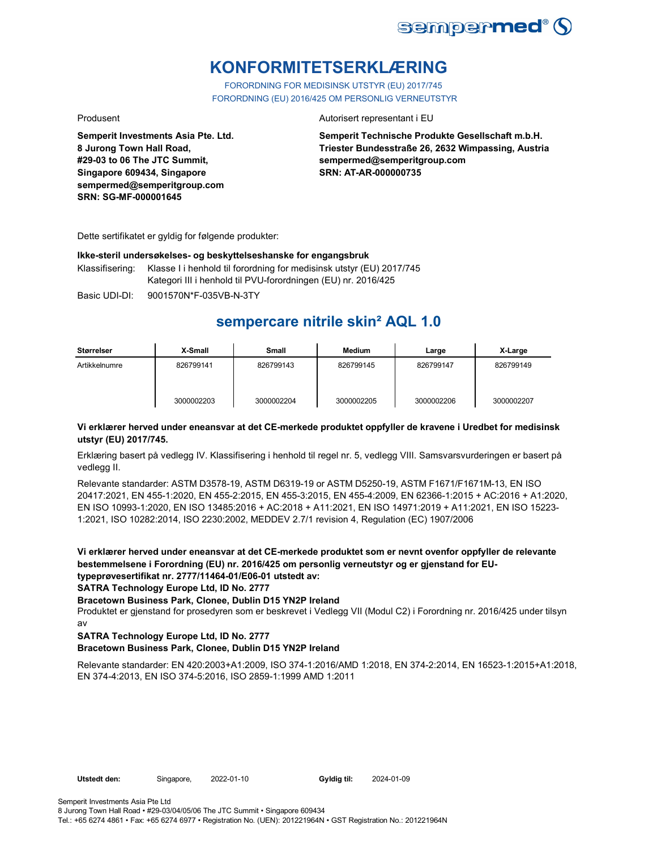

## **KONFORMITETSERKLÆRING**

FORORDNING FOR MEDISINSK UTSTYR (EU) 2017/745 FORORDNING (EU) 2016/425 OM PERSONLIG VERNEUTSTYR

**Semperit Investments Asia Pte. Ltd. 8 Jurong Town Hall Road, #29-03 to 06 The JTC Summit, Singapore 609434, Singapore sempermed@semperitgroup.com SRN: SG-MF-000001645**

#### Produsent **Autorisert representant i EU**

**Semperit Technische Produkte Gesellschaft m.b.H. Triester Bundesstraße 26, 2632 Wimpassing, Austria sempermed@semperitgroup.com SRN: AT-AR-000000735**

Dette sertifikatet er gyldig for følgende produkter:

#### **Ikke-steril undersøkelses- og beskyttelseshanske for engangsbruk**

Klassifisering: Klasse I i henhold til forordning for medisinsk utstyr (EU) 2017/745 Kategori III i henhold til PVU-forordningen (EU) nr. 2016/425

Basic UDI-DI: 9001570N\*F-035VB-N-3TY 9001570N\*F-035VB-N-3T

## **sempercare nitrile skin² AQL 1.0**

| Størrelser    | X-Small    | Small      | Medium     | Large      | X-Large    |
|---------------|------------|------------|------------|------------|------------|
| Artikkelnumre | 826799141  | 826799143  | 826799145  | 826799147  | 826799149  |
|               | 3000002203 | 3000002204 | 3000002205 | 3000002206 | 3000002207 |

#### **Vi erklærer herved under eneansvar at det CE-merkede produktet oppfyller de kravene i Uredbet for medisinsk utstyr (EU) 2017/745.**

Erklæring basert på vedlegg IV. Klassifisering i henhold til regel nr. 5, vedlegg VIII. Samsvarsvurderingen er basert på vedlegg II.

Relevante standarder: ASTM D3578-19, ASTM D6319-19 or ASTM D5250-19, ASTM F1671/F1671M-13, EN ISO 20417:2021, EN 455-1:2020, EN 455-2:2015, EN 455-3:2015, EN 455-4:2009, EN 62366-1:2015 + AC:2016 + A1:2020, EN ISO 10993-1:2020, EN ISO 13485:2016 + AC:2018 + A11:2021, EN ISO 14971:2019 + A11:2021, EN ISO 15223- 1:2021, ISO 10282:2014, ISO 2230:2002, MEDDEV 2.7/1 revision 4, Regulation (EC) 1907/2006

**Vi erklærer herved under eneansvar at det CE-merkede produktet som er nevnt ovenfor oppfyller de relevante bestemmelsene i Forordning (EU) nr. 2016/425 om personlig verneutstyr og er gjenstand for EUtypeprøvesertifikat nr. 2777/11464-01/E06-01 utstedt av:**

**SATRA Technology Europe Ltd, ID No. 2777**

#### **Bracetown Business Park, Clonee, Dublin D15 YN2P Ireland**

Produktet er gjenstand for prosedyren som er beskrevet i Vedlegg VII (Modul C2) i Forordning nr. 2016/425 under tilsyn av

### **SATRA Technology Europe Ltd, ID No. 2777**

#### **Bracetown Business Park, Clonee, Dublin D15 YN2P Ireland**

Relevante standarder: EN 420:2003+A1:2009, ISO 374-1:2016/AMD 1:2018, EN 374-2:2014, EN 16523-1:2015+A1:2018, EN 374-4:2013, EN ISO 374-5:2016, ISO 2859-1:1999 AMD 1:2011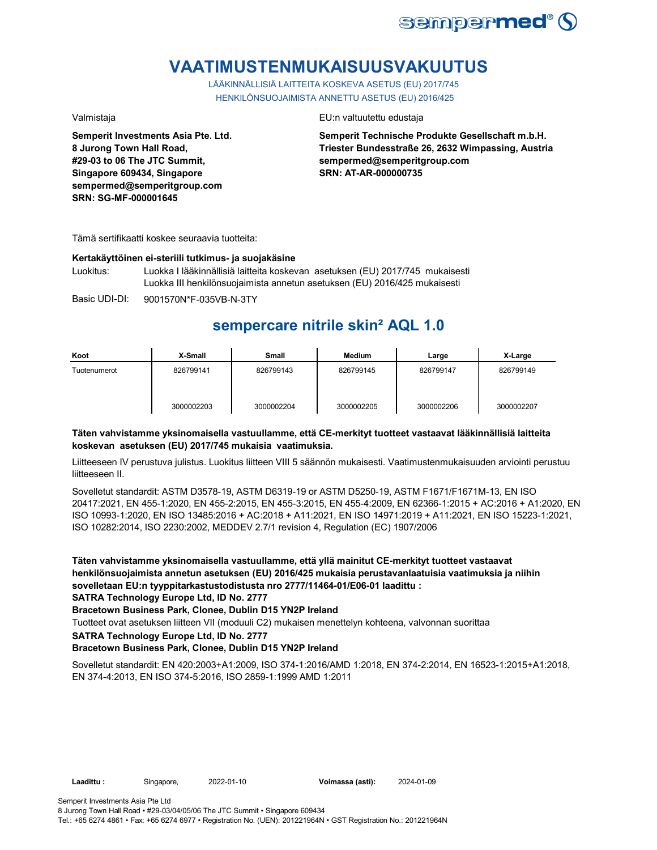

## **VAATIMUSTENMUKAISUUSVAKUUTUS**

LÄÄKINNÄLLISIÄ LAITTEITA KOSKEVA ASETUS (EU) 2017/745 HENKILÖNSUOJAIMISTA ANNETTU ASETUS (EU) 2016/425

**Semperit Investments Asia Pte. Ltd. 8 Jurong Town Hall Road, #29-03 to 06 The JTC Summit, Singapore 609434, Singapore sempermed@semperitgroup.com SRN: SG-MF-000001645**

#### Valmistaja EU:n valtuutettu edustaja

**Semperit Technische Produkte Gesellschaft m.b.H. Triester Bundesstraße 26, 2632 Wimpassing, Austria sempermed@semperitgroup.com SRN: AT-AR-000000735**

Tämä sertifikaatti koskee seuraavia tuotteita:

### **Kertakäyttöinen ei-steriili tutkimus- ja suojakäsine**

Luokitus: Luokka I lääkinnällisiä laitteita koskevan asetuksen (EU) 2017/745 mukaisesti Luokka III henkilönsuojaimista annetun asetuksen (EU) 2016/425 mukaisesti

Basic UDI-DI: 9001570N\*F-035VB-N-3TY

## **sempercare nitrile skin² AQL 1.0**

| Koot         | X-Small    | Small      | Medium     | Large      | X-Large    |
|--------------|------------|------------|------------|------------|------------|
| Tuotenumerot | 826799141  | 826799143  | 826799145  | 826799147  | 826799149  |
|              | 3000002203 | 3000002204 | 3000002205 | 3000002206 | 3000002207 |

### **Täten vahvistamme yksinomaisella vastuullamme, että CE-merkityt tuotteet vastaavat lääkinnällisiä laitteita koskevan asetuksen (EU) 2017/745 mukaisia vaatimuksia.**

Liitteeseen IV perustuva julistus. Luokitus liitteen VIII 5 säännön mukaisesti. Vaatimustenmukaisuuden arviointi perustuu liitteeseen II.

Sovelletut standardit: ASTM D3578-19, ASTM D6319-19 or ASTM D5250-19, ASTM F1671/F1671M-13, EN ISO 20417:2021, EN 455-1:2020, EN 455-2:2015, EN 455-3:2015, EN 455-4:2009, EN 62366-1:2015 + AC:2016 + A1:2020, EN ISO 10993-1:2020, EN ISO 13485:2016 + AC:2018 + A11:2021, EN ISO 14971:2019 + A11:2021, EN ISO 15223-1:2021, ISO 10282:2014, ISO 2230:2002, MEDDEV 2.7/1 revision 4, Regulation (EC) 1907/2006

**Täten vahvistamme yksinomaisella vastuullamme, että yllä mainitut CE-merkityt tuotteet vastaavat henkilönsuojaimista annetun asetuksen (EU) 2016/425 mukaisia perustavanlaatuisia vaatimuksia ja niihin sovelletaan EU:n tyyppitarkastustodistusta nro 2777/11464-01/E06-01 laadittu :**

**SATRA Technology Europe Ltd, ID No. 2777**

### **Bracetown Business Park, Clonee, Dublin D15 YN2P Ireland**

Tuotteet ovat asetuksen liitteen VII (moduuli C2) mukaisen menettelyn kohteena, valvonnan suorittaa

**SATRA Technology Europe Ltd, ID No. 2777**

### **Bracetown Business Park, Clonee, Dublin D15 YN2P Ireland**

Sovelletut standardit: EN 420:2003+A1:2009, ISO 374-1:2016/AMD 1:2018, EN 374-2:2014, EN 16523-1:2015+A1:2018, EN 374-4:2013, EN ISO 374-5:2016, ISO 2859-1:1999 AMD 1:2011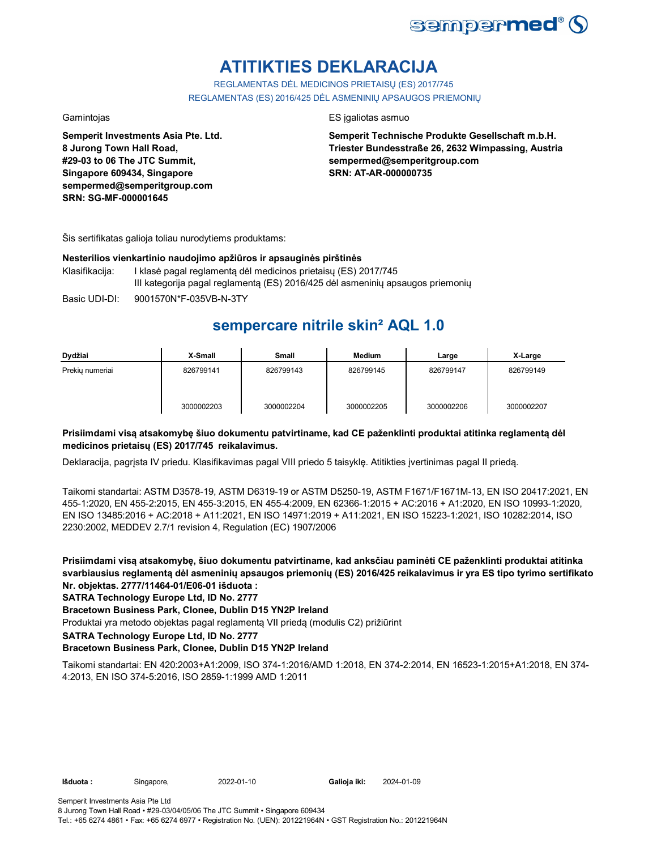

# **ATITIKTIES DEKLARACIJA**

REGLAMENTAS DĖL MEDICINOS PRIETAISŲ (ES) 2017/745 REGLAMENTAS (ES) 2016/425 DĖL ASMENINIŲ APSAUGOS PRIEMONIŲ

**Semperit Investments Asia Pte. Ltd. 8 Jurong Town Hall Road, #29-03 to 06 The JTC Summit, Singapore 609434, Singapore sempermed@semperitgroup.com SRN: SG-MF-000001645**

### Gamintojas ES įgaliotas asmuo

**Semperit Technische Produkte Gesellschaft m.b.H. Triester Bundesstraße 26, 2632 Wimpassing, Austria sempermed@semperitgroup.com SRN: AT-AR-000000735**

Šis sertifikatas galioja toliau nurodytiems produktams:

### **Nesterilios vienkartinio naudojimo apžiūros ir apsauginės pirštinės**

- Klasifikacija: I klasė pagal reglamentą dėl medicinos prietaisų (ES) 2017/745 III kategorija pagal reglamentą (ES) 2016/425 dėl asmeninių apsaugos priemonių
- Basic UDI-DI: 9001570N\*F-035VB-N-3TY 9001570N\*F-035VB-N-3T

## **sempercare nitrile skin² AQL 1.0**

| Dydžiai         | X-Small    | Small      | Medium     | Large      | X-Large    |
|-----------------|------------|------------|------------|------------|------------|
| Prekiu numeriai | 826799141  | 826799143  | 826799145  | 826799147  | 826799149  |
|                 | 3000002203 | 3000002204 | 3000002205 | 3000002206 | 3000002207 |

### **Prisiimdami visą atsakomybę šiuo dokumentu patvirtiname, kad CE paženklinti produktai atitinka reglamentą dėl medicinos prietaisų (ES) 2017/745 reikalavimus.**

Deklaracija, pagrįsta IV priedu. Klasifikavimas pagal VIII priedo 5 taisyklę. Atitikties įvertinimas pagal II priedą.

Taikomi standartai: ASTM D3578-19, ASTM D6319-19 or ASTM D5250-19, ASTM F1671/F1671M-13, EN ISO 20417:2021, EN 455-1:2020, EN 455-2:2015, EN 455-3:2015, EN 455-4:2009, EN 62366-1:2015 + AC:2016 + A1:2020, EN ISO 10993-1:2020, EN ISO 13485:2016 + AC:2018 + A11:2021, EN ISO 14971:2019 + A11:2021, EN ISO 15223-1:2021, ISO 10282:2014, ISO 2230:2002, MEDDEV 2.7/1 revision 4, Regulation (EC) 1907/2006

**Prisiimdami visą atsakomybę, šiuo dokumentu patvirtiname, kad anksčiau paminėti CE paženklinti produktai atitinka svarbiausius reglamentą dėl asmeninių apsaugos priemonių (ES) 2016/425 reikalavimus ir yra ES tipo tyrimo sertifikato Nr. objektas. 2777/11464-01/E06-01 išduota :**

### **SATRA Technology Europe Ltd, ID No. 2777**

### **Bracetown Business Park, Clonee, Dublin D15 YN2P Ireland**

Produktai yra metodo objektas pagal reglamentą VII priedą (modulis C2) prižiūrint

**SATRA Technology Europe Ltd, ID No. 2777**

### **Bracetown Business Park, Clonee, Dublin D15 YN2P Ireland**

Taikomi standartai: EN 420:2003+A1:2009, ISO 374-1:2016/AMD 1:2018, EN 374-2:2014, EN 16523-1:2015+A1:2018, EN 374- 4:2013, EN ISO 374-5:2016, ISO 2859-1:1999 AMD 1:2011

Galioja iki: 2024-01-09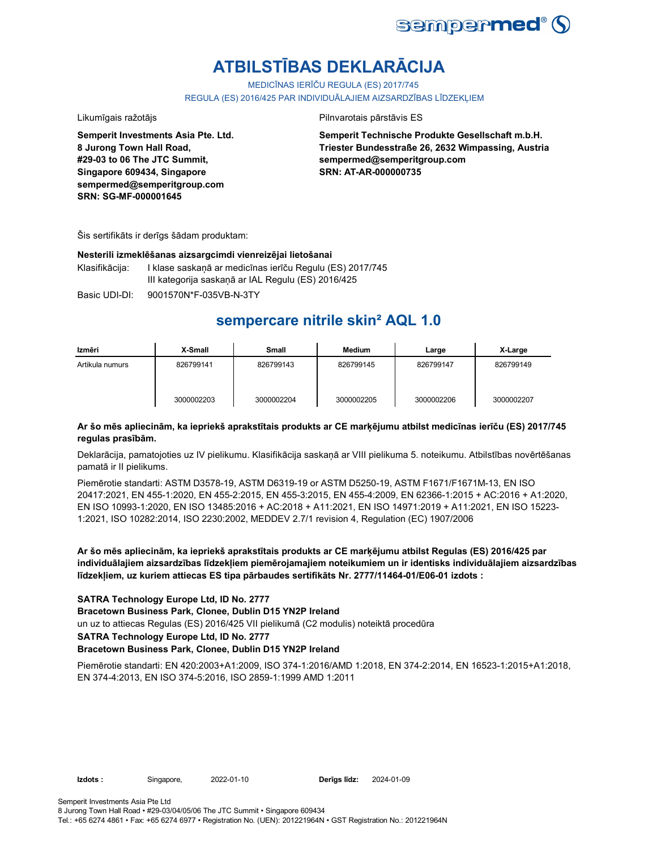

# **ATBILSTĪBAS DEKLARĀCIJA**

MEDICĪNAS IERĪČU REGULA (ES) 2017/745

REGULA (ES) 2016/425 PAR INDIVIDUĀLAJIEM AIZSARDZĪBAS LĪDZEKLIEM

#### Likumīgais ražotājs **Pilnvarotais pārstāvis ES**

**Semperit Technische Produkte Gesellschaft m.b.H. Triester Bundesstraße 26, 2632 Wimpassing, Austria sempermed@semperitgroup.com SRN: AT-AR-000000735**

**8 Jurong Town Hall Road, #29-03 to 06 The JTC Summit, Singapore 609434, Singapore sempermed@semperitgroup.com SRN: SG-MF-000001645**

**Semperit Investments Asia Pte. Ltd.**

Šis sertifikāts ir derīgs šādam produktam:

#### **Nesterili izmeklēšanas aizsargcimdi vienreizējai lietošanai**

Klasifikācija: I klase saskaņā ar medicīnas ierīču Regulu (ES) 2017/745 III kategorija saskaņā ar IAL Regulu (ES) 2016/425

Basic UDI-DI: 9001570N\*F-035VB-N-3TY 9001570N\*F-035VB-N-3T

## **sempercare nitrile skin² AQL 1.0**

| Izmēri          | X-Small    | Small      | Medium     | Large      | X-Large    |
|-----------------|------------|------------|------------|------------|------------|
| Artikula numurs | 826799141  | 826799143  | 826799145  | 826799147  | 826799149  |
|                 | 3000002203 | 3000002204 | 3000002205 | 3000002206 | 3000002207 |

### **Ar šo mēs apliecinām, ka iepriekš aprakstītais produkts ar CE marķējumu atbilst medicīnas ierīču (ES) 2017/745 regulas prasībām.**

Deklarācija, pamatojoties uz IV pielikumu. Klasifikācija saskaņā ar VIII pielikuma 5. noteikumu. Atbilstības novērtēšanas pamatā ir II pielikums.

Piemērotie standarti: ASTM D3578-19, ASTM D6319-19 or ASTM D5250-19, ASTM F1671/F1671M-13, EN ISO 20417:2021, EN 455-1:2020, EN 455-2:2015, EN 455-3:2015, EN 455-4:2009, EN 62366-1:2015 + AC:2016 + A1:2020, EN ISO 10993-1:2020, EN ISO 13485:2016 + AC:2018 + A11:2021, EN ISO 14971:2019 + A11:2021, EN ISO 15223- 1:2021, ISO 10282:2014, ISO 2230:2002, MEDDEV 2.7/1 revision 4, Regulation (EC) 1907/2006

**Ar šo mēs apliecinām, ka iepriekš aprakstītais produkts ar CE marķējumu atbilst Regulas (ES) 2016/425 par individuālajiem aizsardzības līdzekļiem piemērojamajiem noteikumiem un ir identisks individuālajiem aizsardzības līdzekļiem, uz kuriem attiecas ES tipa pārbaudes sertifikāts Nr. 2777/11464-01/E06-01 izdots :**

### **SATRA Technology Europe Ltd, ID No. 2777**

**Bracetown Business Park, Clonee, Dublin D15 YN2P Ireland**

un uz to attiecas Regulas (ES) 2016/425 VII pielikumā (C2 modulis) noteiktā procedūra

**SATRA Technology Europe Ltd, ID No. 2777**

#### **Bracetown Business Park, Clonee, Dublin D15 YN2P Ireland**

Piemērotie standarti: EN 420:2003+A1:2009, ISO 374-1:2016/AMD 1:2018, EN 374-2:2014, EN 16523-1:2015+A1:2018, EN 374-4:2013, EN ISO 374-5:2016, ISO 2859-1:1999 AMD 1:2011

**Izdots :** Singapore, 2022-01-10 **Derīgs līdz:**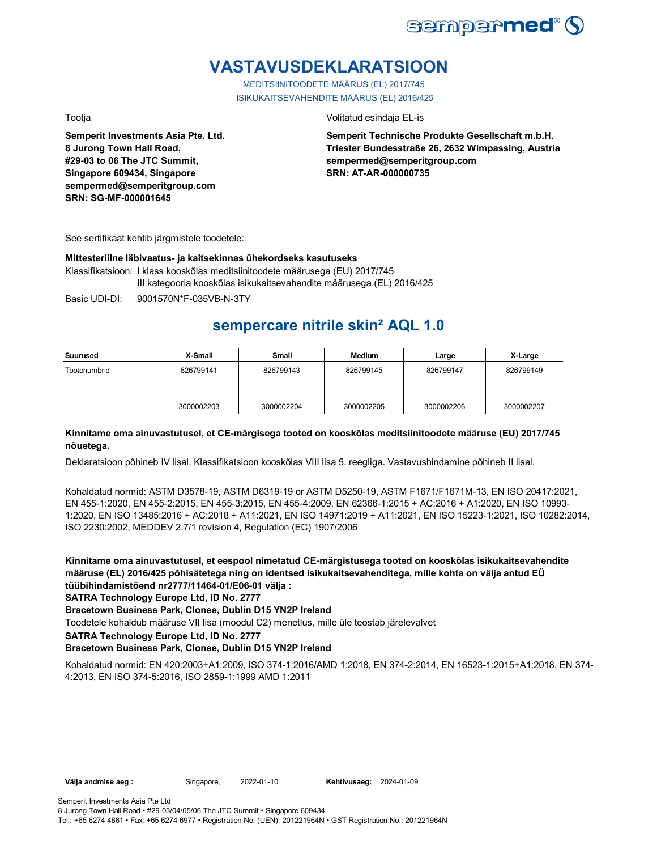

## **VASTAVUSDEKLARATSIOON**

MEDITSIINITOODETE MÄÄRUS (EL) 2017/745 ISIKUKAITSEVAHENDITE MÄÄRUS (EL) 2016/425

**Semperit Investments Asia Pte. Ltd. 8 Jurong Town Hall Road, #29-03 to 06 The JTC Summit, Singapore 609434, Singapore sempermed@semperitgroup.com SRN: SG-MF-000001645**

Tootja Volitatud esindaja EL-is

**Semperit Technische Produkte Gesellschaft m.b.H. Triester Bundesstraße 26, 2632 Wimpassing, Austria sempermed@semperitgroup.com SRN: AT-AR-000000735**

See sertifikaat kehtib järgmistele toodetele:

#### **Mittesteriilne läbivaatus- ja kaitsekinnas ühekordseks kasutuseks**

Klassifikatsioon: I klass kooskõlas meditsiinitoodete määrusega (EU) 2017/745 III kategooria kooskõlas isikukaitsevahendite määrusega (EL) 2016/425

Basic UDI-DI: 9001570N\*F-035VB-N-3TY 9001570N\*F-035VB-N-3T

## **sempercare nitrile skin² AQL 1.0**

| Suurused     | X-Small    | <b>Small</b> | Medium     | Large      | X-Large    |
|--------------|------------|--------------|------------|------------|------------|
| Tootenumbrid | 826799141  | 826799143    | 826799145  | 826799147  | 826799149  |
|              | 3000002203 | 3000002204   | 3000002205 | 3000002206 | 3000002207 |

### **Kinnitame oma ainuvastutusel, et CE-märgisega tooted on kooskõlas meditsiinitoodete määruse (EU) 2017/745 nõuetega.**

Deklaratsioon põhineb IV lisal. Klassifikatsioon kooskõlas VIII lisa 5. reegliga. Vastavushindamine põhineb II lisal.

Kohaldatud normid: ASTM D3578-19, ASTM D6319-19 or ASTM D5250-19, ASTM F1671/F1671M-13, EN ISO 20417:2021, EN 455-1:2020, EN 455-2:2015, EN 455-3:2015, EN 455-4:2009, EN 62366-1:2015 + AC:2016 + A1:2020, EN ISO 10993- 1:2020, EN ISO 13485:2016 + AC:2018 + A11:2021, EN ISO 14971:2019 + A11:2021, EN ISO 15223-1:2021, ISO 10282:2014, ISO 2230:2002, MEDDEV 2.7/1 revision 4, Regulation (EC) 1907/2006

**Kinnitame oma ainuvastutusel, et eespool nimetatud CE-märgistusega tooted on kooskõlas isikukaitsevahendite määruse (EL) 2016/425 põhisätetega ning on identsed isikukaitsevahenditega, mille kohta on välja antud EÜ tüübihindamistõend nr2777/11464-01/E06-01 välja :**

**SATRA Technology Europe Ltd, ID No. 2777**

### **Bracetown Business Park, Clonee, Dublin D15 YN2P Ireland**

Toodetele kohaldub määruse VII lisa (moodul C2) menetlus, mille üle teostab järelevalvet

**SATRA Technology Europe Ltd, ID No. 2777**

### **Bracetown Business Park, Clonee, Dublin D15 YN2P Ireland**

Kohaldatud normid: EN 420:2003+A1:2009, ISO 374-1:2016/AMD 1:2018, EN 374-2:2014, EN 16523-1:2015+A1:2018, EN 374- 4:2013, EN ISO 374-5:2016, ISO 2859-1:1999 AMD 1:2011

**Kehtivusaeg: 2024-01-09**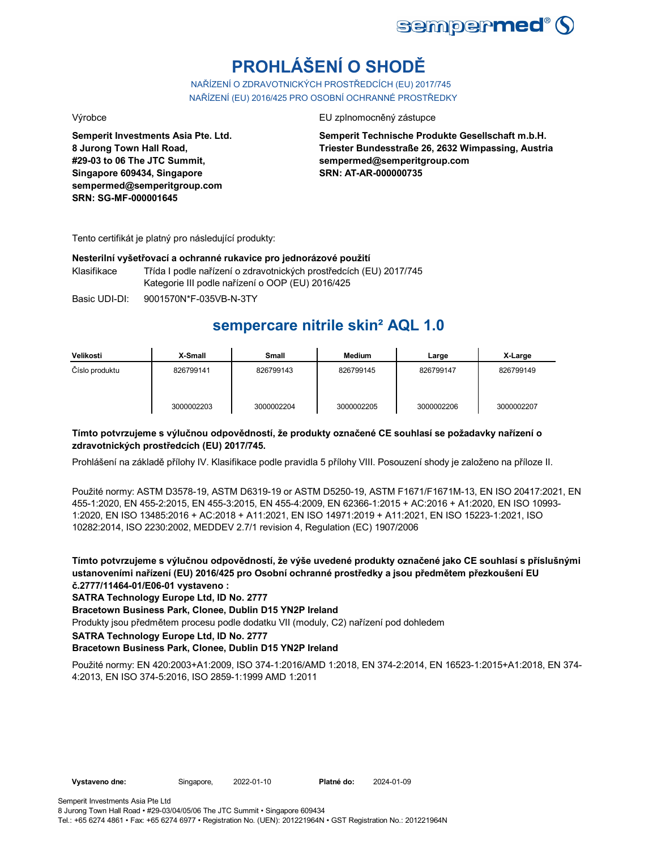

# **PROHLÁŠENÍ O SHODĚ**

NAŘÍZENÍ O ZDRAVOTNICKÝCH PROSTŘEDCÍCH (EU) 2017/745 NAŘÍZENÍ (EU) 2016/425 PRO OSOBNÍ OCHRANNÉ PROSTŘEDKY

**Semperit Investments Asia Pte. Ltd. 8 Jurong Town Hall Road, #29-03 to 06 The JTC Summit, Singapore 609434, Singapore sempermed@semperitgroup.com SRN: SG-MF-000001645**

Výrobce EU zplnomocněný zástupce

**Semperit Technische Produkte Gesellschaft m.b.H. Triester Bundesstraße 26, 2632 Wimpassing, Austria sempermed@semperitgroup.com SRN: AT-AR-000000735**

Tento certifikát je platný pro následující produkty:

#### **Nesterilní vyšetřovací a ochranné rukavice pro jednorázové použití**

Klasifikace Třída I podle nařízení o zdravotnických prostředcích (EU) 2017/745 Kategorie III podle nařízení o OOP (EU) 2016/425

Basic UDI-DI: 9001570N\*F-035VB-N-3TY

## **sempercare nitrile skin² AQL 1.0**

| Velikosti      | X-Small    | Small      | <b>Medium</b> | Large      | X-Large    |
|----------------|------------|------------|---------------|------------|------------|
| Číslo produktu | 826799141  | 826799143  | 826799145     | 826799147  | 826799149  |
|                | 3000002203 | 3000002204 | 3000002205    | 3000002206 | 3000002207 |

### **Tímto potvrzujeme s výlučnou odpovědností, že produkty označené CE souhlasí se požadavky nařízení o zdravotnických prostředcích (EU) 2017/745.**

Prohlášení na základě přílohy IV. Klasifikace podle pravidla 5 přílohy VIII. Posouzení shody je založeno na příloze II.

Použité normy: ASTM D3578-19, ASTM D6319-19 or ASTM D5250-19, ASTM F1671/F1671M-13, EN ISO 20417:2021, EN 455-1:2020, EN 455-2:2015, EN 455-3:2015, EN 455-4:2009, EN 62366-1:2015 + AC:2016 + A1:2020, EN ISO 10993- 1:2020, EN ISO 13485:2016 + AC:2018 + A11:2021, EN ISO 14971:2019 + A11:2021, EN ISO 15223-1:2021, ISO 10282:2014, ISO 2230:2002, MEDDEV 2.7/1 revision 4, Regulation (EC) 1907/2006

**Tímto potvrzujeme s výlučnou odpovědností, že výše uvedené produkty označené jako CE souhlasí s příslušnými ustanoveními nařízení (EU) 2016/425 pro Osobní ochranné prostředky a jsou předmětem přezkoušení EU č.2777/11464-01/E06-01 vystaveno :**

**SATRA Technology Europe Ltd, ID No. 2777**

**Bracetown Business Park, Clonee, Dublin D15 YN2P Ireland**

Produkty jsou předmětem procesu podle dodatku VII (moduly, C2) nařízení pod dohledem

**SATRA Technology Europe Ltd, ID No. 2777**

### **Bracetown Business Park, Clonee, Dublin D15 YN2P Ireland**

Použité normy: EN 420:2003+A1:2009, ISO 374-1:2016/AMD 1:2018, EN 374-2:2014, EN 16523-1:2015+A1:2018, EN 374- 4:2013, EN ISO 374-5:2016, ISO 2859-1:1999 AMD 1:2011

2024-01-09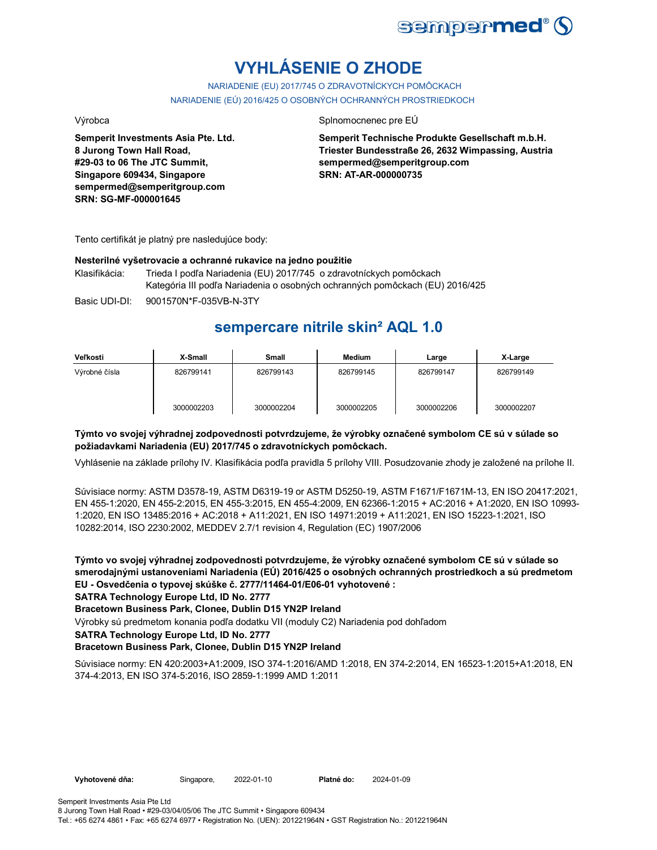

# **VYHLÁSENIE O ZHODE**

NARIADENIE (EU) 2017/745 O ZDRAVOTNÍCKYCH POMÔCKACH NARIADENIE (EÚ) 2016/425 O OSOBNÝCH OCHRANNÝCH PROSTRIEDKOCH

**Semperit Investments Asia Pte. Ltd. 8 Jurong Town Hall Road, #29-03 to 06 The JTC Summit, Singapore 609434, Singapore sempermed@semperitgroup.com SRN: SG-MF-000001645**

#### Výrobca Splnomocnenec pre EÚ

**Semperit Technische Produkte Gesellschaft m.b.H. Triester Bundesstraße 26, 2632 Wimpassing, Austria sempermed@semperitgroup.com SRN: AT-AR-000000735**

Tento certifikát je platný pre nasledujúce body:

#### **Nesterilné vyšetrovacie a ochranné rukavice na jedno použitie**

Klasifikácia: Trieda I podľa Nariadenia (EU) 2017/745 o zdravotníckych pomôckach Kategória III podľa Nariadenia o osobných ochranných pomôckach (EU) 2016/425

Basic UDI-DI: 9001570N\*F-035VB-N-3TY 9001570N\*F-035VB-N-3T

## **sempercare nitrile skin² AQL 1.0**

| Veľkosti      | X-Small    | <b>Small</b> | <b>Medium</b> | Large      | X-Large    |
|---------------|------------|--------------|---------------|------------|------------|
| Výrobné čísla | 826799141  | 826799143    | 826799145     | 826799147  | 826799149  |
|               | 3000002203 | 3000002204   | 3000002205    | 3000002206 | 3000002207 |

### **Týmto vo svojej výhradnej zodpovednosti potvrdzujeme, že výrobky označené symbolom CE sú v súlade so požiadavkami Nariadenia (EU) 2017/745 o zdravotníckych pomôckach.**

Vyhlásenie na základe prílohy IV. Klasifikácia podľa pravidla 5 prílohy VIII. Posudzovanie zhody je založené na prílohe II.

Súvisiace normy: ASTM D3578-19, ASTM D6319-19 or ASTM D5250-19, ASTM F1671/F1671M-13, EN ISO 20417:2021, EN 455-1:2020, EN 455-2:2015, EN 455-3:2015, EN 455-4:2009, EN 62366-1:2015 + AC:2016 + A1:2020, EN ISO 10993- 1:2020, EN ISO 13485:2016 + AC:2018 + A11:2021, EN ISO 14971:2019 + A11:2021, EN ISO 15223-1:2021, ISO 10282:2014, ISO 2230:2002, MEDDEV 2.7/1 revision 4, Regulation (EC) 1907/2006

**Týmto vo svojej výhradnej zodpovednosti potvrdzujeme, že výrobky označené symbolom CE sú v súlade so smerodajnými ustanoveniami Nariadenia (EÚ) 2016/425 o osobných ochranných prostriedkoch a sú predmetom EU - Osvedčenia o typovej skúške č. 2777/11464-01/E06-01 vyhotovené :**

### **SATRA Technology Europe Ltd, ID No. 2777**

**Bracetown Business Park, Clonee, Dublin D15 YN2P Ireland**

Výrobky sú predmetom konania podľa dodatku VII (moduly C2) Nariadenia pod dohľadom

#### **SATRA Technology Europe Ltd, ID No. 2777**

### **Bracetown Business Park, Clonee, Dublin D15 YN2P Ireland**

Súvisiace normy: EN 420:2003+A1:2009, ISO 374-1:2016/AMD 1:2018, EN 374-2:2014, EN 16523-1:2015+A1:2018, EN 374-4:2013, EN ISO 374-5:2016, ISO 2859-1:1999 AMD 1:2011

2024-01-09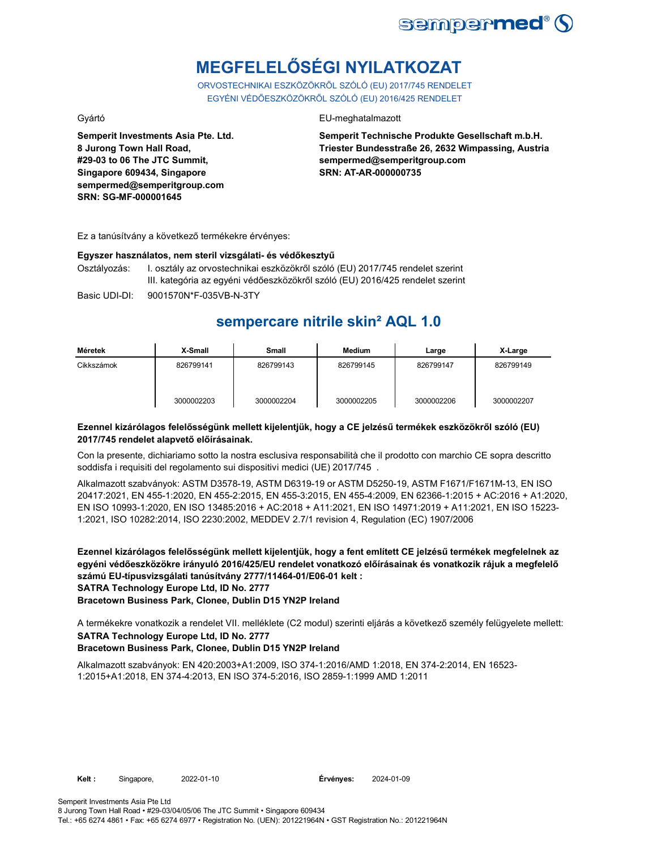

# **MEGFELELŐSÉGI NYILATKOZAT**

ORVOSTECHNIKAI ESZKÖZÖKRŐL SZÓLÓ (EU) 2017/745 RENDELET EGYÉNI VÉDŐESZKÖZÖKRŐL SZÓLÓ (EU) 2016/425 RENDELET

**Semperit Investments Asia Pte. Ltd. 8 Jurong Town Hall Road, #29-03 to 06 The JTC Summit, Singapore 609434, Singapore sempermed@semperitgroup.com SRN: SG-MF-000001645**

### Gyártó EU-meghatalmazott

**Semperit Technische Produkte Gesellschaft m.b.H. Triester Bundesstraße 26, 2632 Wimpassing, Austria sempermed@semperitgroup.com SRN: AT-AR-000000735**

Ez a tanúsítvány a következő termékekre érvényes:

#### **Egyszer használatos, nem steril vizsgálati- és védőkesztyű**

Osztályozás: I. osztály az orvostechnikai eszközökről szóló (EU) 2017/745 rendelet szerint III. kategória az egyéni védőeszközökről szóló (EU) 2016/425 rendelet szerint

Basic UDI-DI: 9001570N\*F-035VB-N-3TY 9001570N\*F-035VB-N-3T

## **sempercare nitrile skin² AQL 1.0**

| Méretek    | X-Small    | Small      | Medium     | Large      | X-Large    |
|------------|------------|------------|------------|------------|------------|
| Cikkszámok | 826799141  | 826799143  | 826799145  | 826799147  | 826799149  |
|            | 3000002203 | 3000002204 | 3000002205 | 3000002206 | 3000002207 |

#### **Ezennel kizárólagos felelősségünk mellett kijelentjük, hogy a CE jelzésű termékek eszközökről szóló (EU) 2017/745 rendelet alapvető előírásainak.**

Con la presente, dichiariamo sotto la nostra esclusiva responsabilità che il prodotto con marchio CE sopra descritto soddisfa i requisiti del regolamento sui dispositivi medici (UE) 2017/745 .

Alkalmazott szabványok: ASTM D3578-19, ASTM D6319-19 or ASTM D5250-19, ASTM F1671/F1671M-13, EN ISO 20417:2021, EN 455-1:2020, EN 455-2:2015, EN 455-3:2015, EN 455-4:2009, EN 62366-1:2015 + AC:2016 + A1:2020, EN ISO 10993-1:2020, EN ISO 13485:2016 + AC:2018 + A11:2021, EN ISO 14971:2019 + A11:2021, EN ISO 15223- 1:2021, ISO 10282:2014, ISO 2230:2002, MEDDEV 2.7/1 revision 4, Regulation (EC) 1907/2006

**Ezennel kizárólagos felelősségünk mellett kijelentjük, hogy a fent említett CE jelzésű termékek megfelelnek az egyéni védőeszközökre irányuló 2016/425/EU rendelet vonatkozó előírásainak és vonatkozik rájuk a megfelelő számú EU-típusvizsgálati tanúsítvány 2777/11464-01/E06-01 kelt : SATRA Technology Europe Ltd, ID No. 2777**

**Bracetown Business Park, Clonee, Dublin D15 YN2P Ireland**

A termékekre vonatkozik a rendelet VII. melléklete (C2 modul) szerinti eljárás a következő személy felügyelete mellett: **SATRA Technology Europe Ltd, ID No. 2777**

#### **Bracetown Business Park, Clonee, Dublin D15 YN2P Ireland**

Alkalmazott szabványok: EN 420:2003+A1:2009, ISO 374-1:2016/AMD 1:2018, EN 374-2:2014, EN 16523- 1:2015+A1:2018, EN 374-4:2013, EN ISO 374-5:2016, ISO 2859-1:1999 AMD 1:2011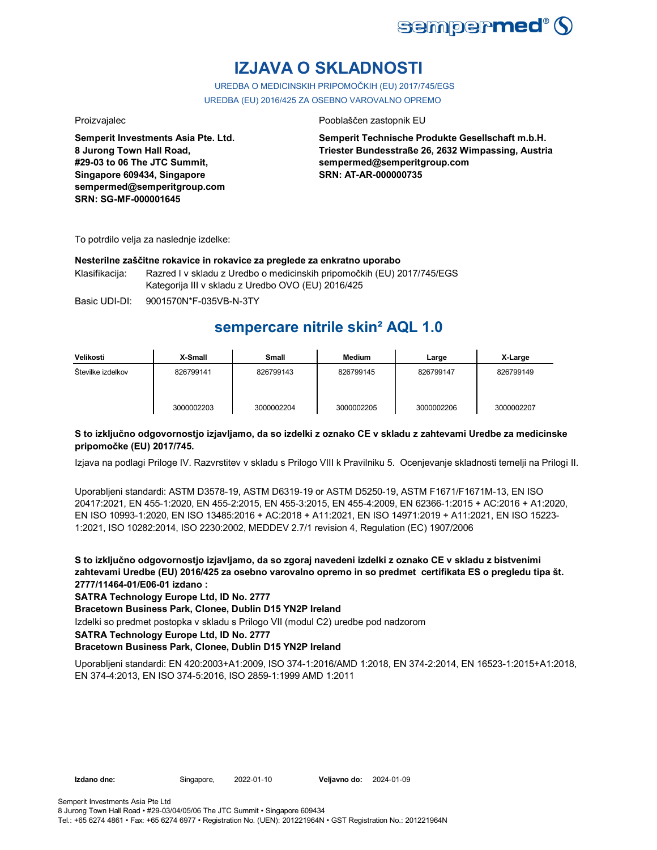

## **IZJAVA O SKLADNOSTI**

UREDBA O MEDICINSKIH PRIPOMOČKIH (EU) 2017/745/EGS UREDBA (EU) 2016/425 ZA OSEBNO VAROVALNO OPREMO

**Semperit Investments Asia Pte. Ltd. 8 Jurong Town Hall Road, #29-03 to 06 The JTC Summit, Singapore 609434, Singapore sempermed@semperitgroup.com SRN: SG-MF-000001645**

#### Proizvajalec **Proizvajalec** Pooblaščen zastopnik EU

**Semperit Technische Produkte Gesellschaft m.b.H. Triester Bundesstraße 26, 2632 Wimpassing, Austria sempermed@semperitgroup.com SRN: AT-AR-000000735**

To potrdilo velja za naslednje izdelke:

#### **Nesterilne zaščitne rokavice in rokavice za preglede za enkratno uporabo**

Klasifikacija: Razred I v skladu z Uredbo o medicinskih pripomočkih (EU) 2017/745/EGS Kategorija III v skladu z Uredbo OVO (EU) 2016/425

Basic UDI-DI: 9001570N\*F-035VB-N-3TY 9001570N\*F-035VB-N-3T

## **sempercare nitrile skin² AQL 1.0**

| Velikosti         | X-Small    | Small      | <b>Medium</b> | Large      | X-Large    |
|-------------------|------------|------------|---------------|------------|------------|
| Številke izdelkov | 826799141  | 826799143  | 826799145     | 826799147  | 826799149  |
|                   | 3000002203 | 3000002204 | 3000002205    | 3000002206 | 3000002207 |

### **S to izključno odgovornostjo izjavljamo, da so izdelki z oznako CE v skladu z zahtevami Uredbe za medicinske pripomočke (EU) 2017/745.**

Izjava na podlagi Priloge IV. Razvrstitev v skladu s Prilogo VIII k Pravilniku 5. Ocenjevanje skladnosti temelji na Prilogi II.

Uporabljeni standardi: ASTM D3578-19, ASTM D6319-19 or ASTM D5250-19, ASTM F1671/F1671M-13, EN ISO 20417:2021, EN 455-1:2020, EN 455-2:2015, EN 455-3:2015, EN 455-4:2009, EN 62366-1:2015 + AC:2016 + A1:2020, EN ISO 10993-1:2020, EN ISO 13485:2016 + AC:2018 + A11:2021, EN ISO 14971:2019 + A11:2021, EN ISO 15223- 1:2021, ISO 10282:2014, ISO 2230:2002, MEDDEV 2.7/1 revision 4, Regulation (EC) 1907/2006

**S to izključno odgovornostjo izjavljamo, da so zgoraj navedeni izdelki z oznako CE v skladu z bistvenimi zahtevami Uredbe (EU) 2016/425 za osebno varovalno opremo in so predmet certifikata ES o pregledu tipa št. 2777/11464-01/E06-01 izdano :**

### **SATRA Technology Europe Ltd, ID No. 2777**

**Bracetown Business Park, Clonee, Dublin D15 YN2P Ireland**

Izdelki so predmet postopka v skladu s Prilogo VII (modul C2) uredbe pod nadzorom

#### **SATRA Technology Europe Ltd, ID No. 2777**

### **Bracetown Business Park, Clonee, Dublin D15 YN2P Ireland**

Uporabljeni standardi: EN 420:2003+A1:2009, ISO 374-1:2016/AMD 1:2018, EN 374-2:2014, EN 16523-1:2015+A1:2018, EN 374-4:2013, EN ISO 374-5:2016, ISO 2859-1:1999 AMD 1:2011

**Izdano dne:** Singapore, 2022-01-10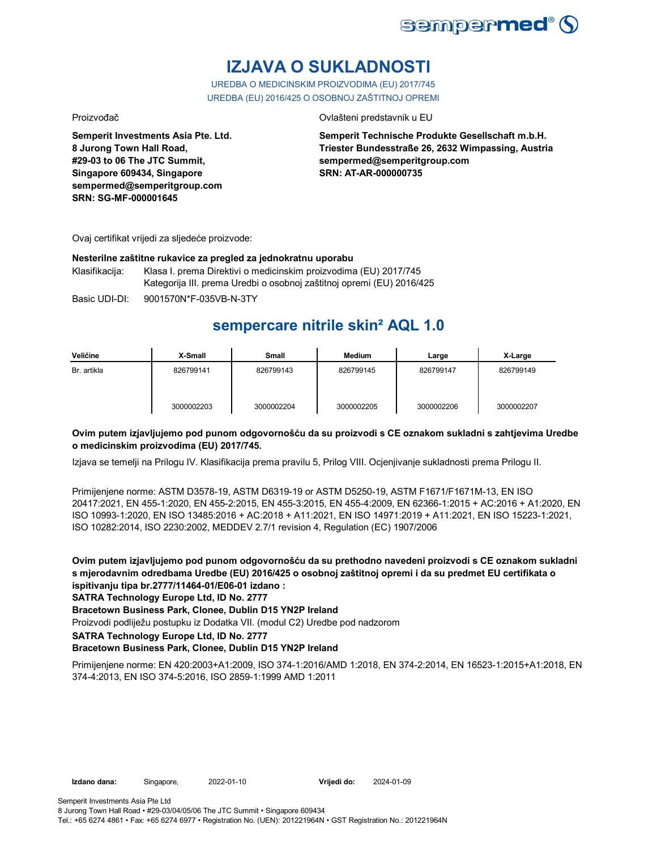

# **IZJAVA O SUKLADNOSTI**

UREDBA O MEDICINSKIM PROIZVODIMA (EU) 2017/745 UREDBA (EU) 2016/425 O OSOBNOJ ZAŠTITNOJ OPREMI

Proizvođač Ovlašteni predstavnik u EU

**Semperit Investments Asia Pte. Ltd. 8 Jurong Town Hall Road, #29-03 to 06 The JTC Summit, Singapore 609434, Singapore sempermed@semperitgroup.com SRN: SG-MF-000001645**

**Semperit Technische Produkte Gesellschaft m.b.H. Triester Bundesstraße 26, 2632 Wimpassing, Austria sempermed@semperitgroup.com SRN: AT-AR-000000735**

Ovaj certifikat vrijedi za sljedeće proizvode:

#### **Nesterilne zaštitne rukavice za pregled za jednokratnu uporabu**

Klasifikacija: Klasa I. prema Direktivi o medicinskim proizvodima (EU) 2017/745 Kategorija III. prema Uredbi o osobnoj zaštitnoj opremi (EU) 2016/425

Basic UDI-DI: 9001570N\*F-035VB-N-3TY

## **sempercare nitrile skin² AQL 1.0**

| Veličine    | X-Small    | Small      | <b>Medium</b> | Large      | X-Large    |
|-------------|------------|------------|---------------|------------|------------|
| Br. artikla | 826799141  | 826799143  | 826799145     | 826799147  | 826799149  |
|             | 3000002203 | 3000002204 | 3000002205    | 3000002206 | 3000002207 |

### **Ovim putem izjavljujemo pod punom odgovornošću da su proizvodi s CE oznakom sukladni s zahtjevima Uredbe o medicinskim proizvodima (EU) 2017/745.**

Izjava se temelji na Prilogu IV. Klasifikacija prema pravilu 5, Prilog VIII. Ocjenjivanje sukladnosti prema Prilogu II.

Primijenjene norme: ASTM D3578-19, ASTM D6319-19 or ASTM D5250-19, ASTM F1671/F1671M-13, EN ISO 20417:2021, EN 455-1:2020, EN 455-2:2015, EN 455-3:2015, EN 455-4:2009, EN 62366-1:2015 + AC:2016 + A1:2020, EN ISO 10993-1:2020, EN ISO 13485:2016 + AC:2018 + A11:2021, EN ISO 14971:2019 + A11:2021, EN ISO 15223-1:2021, ISO 10282:2014, ISO 2230:2002, MEDDEV 2.7/1 revision 4, Regulation (EC) 1907/2006

**Ovim putem izjavljujemo pod punom odgovornošću da su prethodno navedeni proizvodi s CE oznakom sukladni s mjerodavnim odredbama Uredbe (EU) 2016/425 o osobnoj zaštitnoj opremi i da su predmet EU certifikata o ispitivanju tipa br.2777/11464-01/E06-01 izdano :**

**SATRA Technology Europe Ltd, ID No. 2777**

### **Bracetown Business Park, Clonee, Dublin D15 YN2P Ireland**

Proizvodi podliježu postupku iz Dodatka VII. (modul C2) Uredbe pod nadzorom

**SATRA Technology Europe Ltd, ID No. 2777**

### **Bracetown Business Park, Clonee, Dublin D15 YN2P Ireland**

Primijenjene norme: EN 420:2003+A1:2009, ISO 374-1:2016/AMD 1:2018, EN 374-2:2014, EN 16523-1:2015+A1:2018, EN 374-4:2013, EN ISO 374-5:2016, ISO 2859-1:1999 AMD 1:2011

**Vrijedi do:** 2024-01-09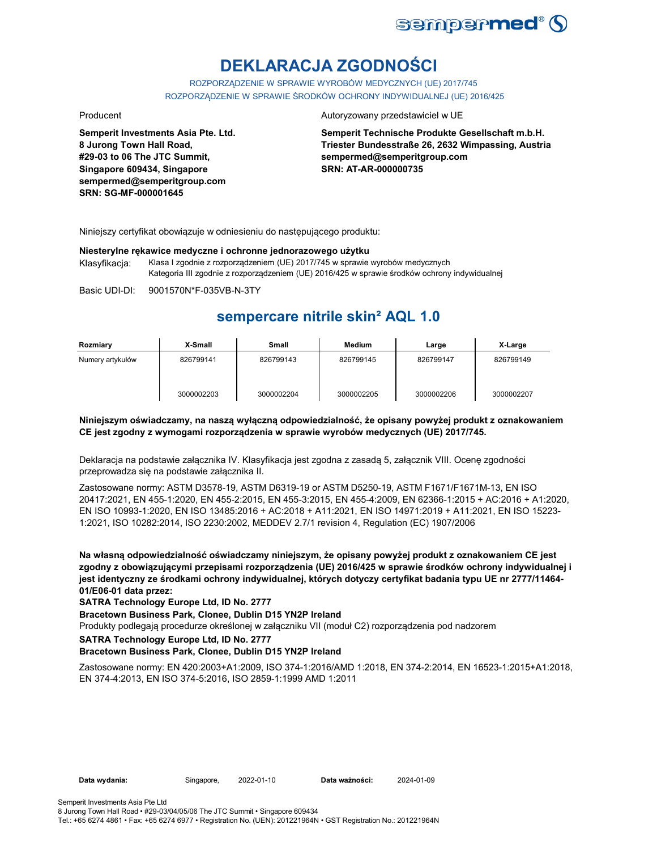

# **DEKLARACJA ZGODNOŚCI**

ROZPORZĄDZENIE W SPRAWIE WYROBÓW MEDYCZNYCH (UE) 2017/745 ROZPORZĄDZENIE W SPRAWIE ŚRODKÓW OCHRONY INDYWIDUALNEJ (UE) 2016/425

**Semperit Investments Asia Pte. Ltd. 8 Jurong Town Hall Road, #29-03 to 06 The JTC Summit, Singapore 609434, Singapore sempermed@semperitgroup.com SRN: SG-MF-000001645**

#### Producent **Autoryzowany przedstawiciel w UE**

**Semperit Technische Produkte Gesellschaft m.b.H. Triester Bundesstraße 26, 2632 Wimpassing, Austria sempermed@semperitgroup.com SRN: AT-AR-000000735**

Niniejszy certyfikat obowiązuje w odniesieniu do następującego produktu:

#### **Niesterylne rękawice medyczne i ochronne jednorazowego użytku**

Klasyfikacja: Klasa I zgodnie z rozporządzeniem (UE) 2017/745 w sprawie wyrobów medycznych Kategoria III zgodnie z rozporządzeniem (UE) 2016/425 w sprawie środków ochrony indywidualnej

Basic UDI-DI: 9001570N\*F-035VB-N-3TY

## **sempercare nitrile skin² AQL 1.0**

| Rozmiary         | X-Small    | Small      | Medium     | Large      | X-Large    |
|------------------|------------|------------|------------|------------|------------|
| Numery artykułów | 826799141  | 826799143  | 826799145  | 826799147  | 826799149  |
|                  | 3000002203 | 3000002204 | 3000002205 | 3000002206 | 3000002207 |

### **Niniejszym oświadczamy, na naszą wyłączną odpowiedzialność, że opisany powyżej produkt z oznakowaniem CE jest zgodny z wymogami rozporządzenia w sprawie wyrobów medycznych (UE) 2017/745.**

Deklaracja na podstawie załącznika IV. Klasyfikacja jest zgodna z zasadą 5, załącznik VIII. Ocenę zgodności przeprowadza się na podstawie załącznika II.

Zastosowane normy: ASTM D3578-19, ASTM D6319-19 or ASTM D5250-19, ASTM F1671/F1671M-13, EN ISO 20417:2021, EN 455-1:2020, EN 455-2:2015, EN 455-3:2015, EN 455-4:2009, EN 62366-1:2015 + AC:2016 + A1:2020, EN ISO 10993-1:2020, EN ISO 13485:2016 + AC:2018 + A11:2021, EN ISO 14971:2019 + A11:2021, EN ISO 15223- 1:2021, ISO 10282:2014, ISO 2230:2002, MEDDEV 2.7/1 revision 4, Regulation (EC) 1907/2006

**Na własną odpowiedzialność oświadczamy niniejszym, że opisany powyżej produkt z oznakowaniem CE jest zgodny z obowiązującymi przepisami rozporządzenia (UE) 2016/425 w sprawie środków ochrony indywidualnej i jest identyczny ze środkami ochrony indywidualnej, których dotyczy certyfikat badania typu UE nr 2777/11464- 01/E06-01 data przez:**

**SATRA Technology Europe Ltd, ID No. 2777**

**Bracetown Business Park, Clonee, Dublin D15 YN2P Ireland**

Produkty podlegają procedurze określonej w załączniku VII (moduł C2) rozporządzenia pod nadzorem

**SATRA Technology Europe Ltd, ID No. 2777**

#### **Bracetown Business Park, Clonee, Dublin D15 YN2P Ireland**

Zastosowane normy: EN 420:2003+A1:2009, ISO 374-1:2016/AMD 1:2018, EN 374-2:2014, EN 16523-1:2015+A1:2018, EN 374-4:2013, EN ISO 374-5:2016, ISO 2859-1:1999 AMD 1:2011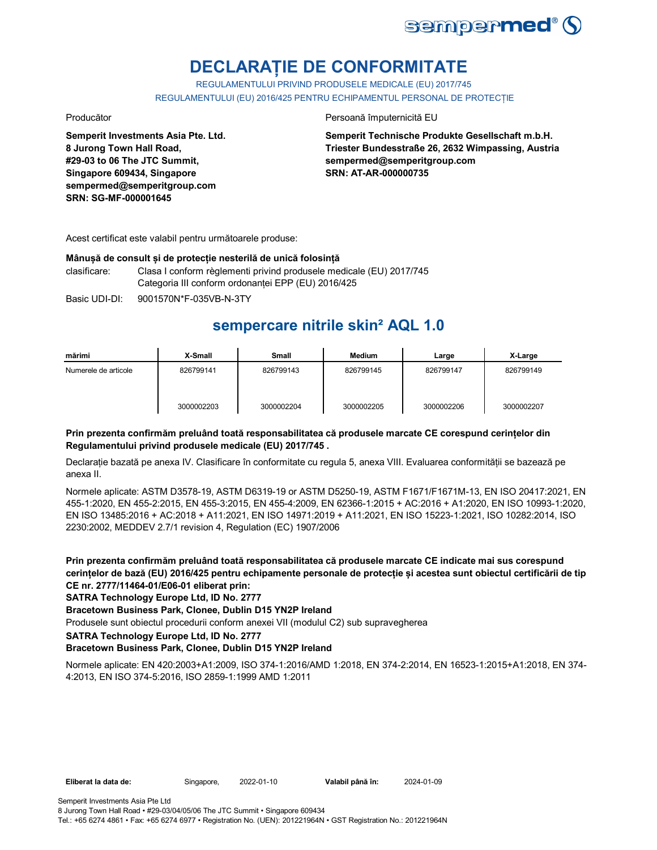

## **DECLARAȚIE DE CONFORMITATE**

REGULAMENTULUI PRIVIND PRODUSELE MEDICALE (EU) 2017/745 REGULAMENTULUI (EU) 2016/425 PENTRU ECHIPAMENTUL PERSONAL DE PROTECȚIE

**Semperit Investments Asia Pte. Ltd. 8 Jurong Town Hall Road, #29-03 to 06 The JTC Summit, Singapore 609434, Singapore sempermed@semperitgroup.com SRN: SG-MF-000001645**

#### Producător **Producător** Persoană împuternicită EU

**Semperit Technische Produkte Gesellschaft m.b.H. Triester Bundesstraße 26, 2632 Wimpassing, Austria sempermed@semperitgroup.com SRN: AT-AR-000000735**

Acest certificat este valabil pentru următoarele produse:

#### **Mânușă de consult și de protecție nesterilă de unică folosință**

clasificare: Clasa I conform règlementi privind produsele medicale (EU) 2017/745 Categoria III conform ordonanței EPP (EU) 2016/425

Basic UDI-DI: 9001570N\*F-035VB-N-3TY 9001570N\*F-035VB-N-3T

## **sempercare nitrile skin² AQL 1.0**

| mărimi               | X-Small    | <b>Small</b> | Medium     | Large      | X-Large    |
|----------------------|------------|--------------|------------|------------|------------|
| Numerele de articole | 826799141  | 826799143    | 826799145  | 826799147  | 826799149  |
|                      | 3000002203 | 3000002204   | 3000002205 | 3000002206 | 3000002207 |

### **Prin prezenta confirmăm preluând toată responsabilitatea că produsele marcate CE corespund cerințelor din Regulamentului privind produsele medicale (EU) 2017/745 .**

Declarație bazată pe anexa IV. Clasificare în conformitate cu regula 5, anexa VIII. Evaluarea conformității se bazează pe anexa II.

Normele aplicate: ASTM D3578-19, ASTM D6319-19 or ASTM D5250-19, ASTM F1671/F1671M-13, EN ISO 20417:2021, EN 455-1:2020, EN 455-2:2015, EN 455-3:2015, EN 455-4:2009, EN 62366-1:2015 + AC:2016 + A1:2020, EN ISO 10993-1:2020, EN ISO 13485:2016 + AC:2018 + A11:2021, EN ISO 14971:2019 + A11:2021, EN ISO 15223-1:2021, ISO 10282:2014, ISO 2230:2002, MEDDEV 2.7/1 revision 4, Regulation (EC) 1907/2006

**Prin prezenta confirmăm preluând toată responsabilitatea că produsele marcate CE indicate mai sus corespund cerințelor de bază (EU) 2016/425 pentru echipamente personale de protecție și acestea sunt obiectul certificării de tip CE nr. 2777/11464-01/E06-01 eliberat prin:**

### **SATRA Technology Europe Ltd, ID No. 2777**

### **Bracetown Business Park, Clonee, Dublin D15 YN2P Ireland**

Produsele sunt obiectul procedurii conform anexei VII (modulul C2) sub supravegherea

**SATRA Technology Europe Ltd, ID No. 2777**

### **Bracetown Business Park, Clonee, Dublin D15 YN2P Ireland**

Normele aplicate: EN 420:2003+A1:2009, ISO 374-1:2016/AMD 1:2018, EN 374-2:2014, EN 16523-1:2015+A1:2018, EN 374- 4:2013, EN ISO 374-5:2016, ISO 2859-1:1999 AMD 1:2011

**Eliberat la data de:** Singapore, **Valabil până în:** 2022-01-10 2024-01-09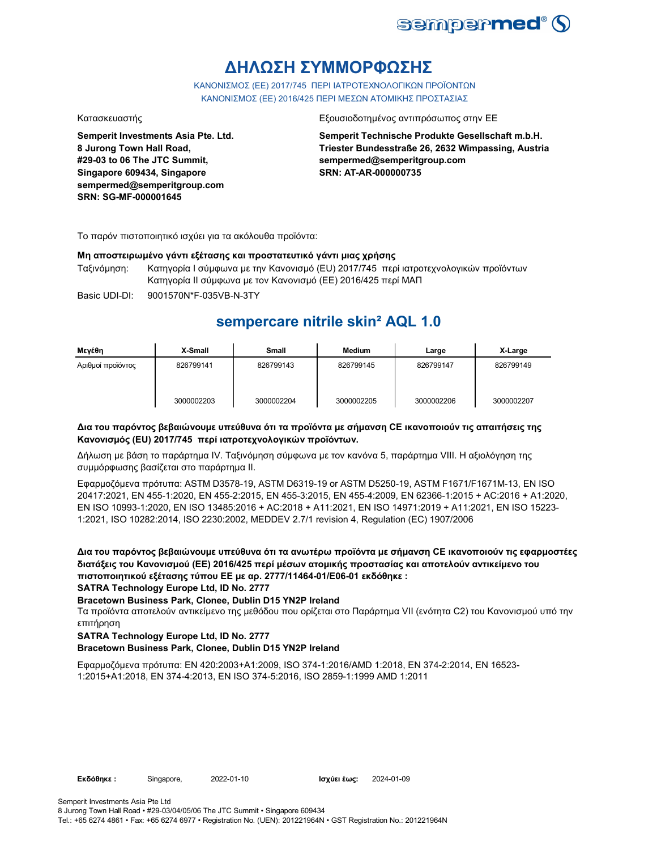

## **ΔΗΛΩΣΗ ΣΥΜΜΟΡΦΩΣΗΣ**

ΚΑΝΟΝΙΣΜΟΣ (EE) 2017/745 ΠΕΡΙ ΙΑΤΡΟΤΕΧΝΟΛΟΓΙΚΩΝ ΠΡΟΪΟΝΤΩΝ ΚΑΝΟΝΙΣΜΟΣ (ΕΕ) 2016/425 ΠΕΡΙ ΜΕΣΩΝ ΑΤΟΜΙΚΗΣ ΠΡΟΣΤΑΣΙΑΣ

**Semperit Investments Asia Pte. Ltd. 8 Jurong Town Hall Road, #29-03 to 06 The JTC Summit, Singapore 609434, Singapore sempermed@semperitgroup.com SRN: SG-MF-000001645**

### Κατασκευαστής Εξουσιοδοτημένος αντιπρόσωπος στην ΕΕ

**Semperit Technische Produkte Gesellschaft m.b.H. Triester Bundesstraße 26, 2632 Wimpassing, Austria sempermed@semperitgroup.com SRN: AT-AR-000000735**

Το παρόν πιστοποιητικό ισχύει για τα ακόλουθα προϊόντα:

### **Μη αποστειρωμένο γάντι εξέτασης και προστατευτικό γάντι μιας χρήσης**

Ταξινόμηση: Κατηγορία I σύμφωνα με την Κανονισμό (EU) 2017/745 περί ιατροτεχνολογικών προϊόντων Κατηγορία II σύμφωνα με τον Κανονισμό (ΕΕ) 2016/425 περί ΜΑΠ

Basic UDI-DI: 9001570N\*F-035VB-N-3TY 9001570N\*F-035VB-N-3T

## **sempercare nitrile skin² AQL 1.0**

| Μεγέθη            | X-Small    | <b>Small</b> | Medium     | Large      | X-Large    |
|-------------------|------------|--------------|------------|------------|------------|
| Αριθμοί προϊόντος | 826799141  | 826799143    | 826799145  | 826799147  | 826799149  |
|                   | 3000002203 | 3000002204   | 3000002205 | 3000002206 | 3000002207 |

### **Δια του παρόντος βεβαιώνουμε υπεύθυνα ότι τα προϊόντα με σήμανση CE ικανοποιούν τις απαιτήσεις της Κανονισμός (EU) 2017/745 περί ιατροτεχνολογικών προϊόντων.**

Δήλωση με βάση το παράρτημα IV. Ταξινόμηση σύμφωνα με τον κανόνα 5, παράρτημα VIII. Η αξιολόγηση της συμμόρφωσης βασίζεται στο παράρτημα II.

Εφαρμοζόμενα πρότυπα: ASTM D3578-19, ASTM D6319-19 or ASTM D5250-19, ASTM F1671/F1671M-13, EN ISO 20417:2021, EN 455-1:2020, EN 455-2:2015, EN 455-3:2015, EN 455-4:2009, EN 62366-1:2015 + AC:2016 + A1:2020, EN ISO 10993-1:2020, EN ISO 13485:2016 + AC:2018 + A11:2021, EN ISO 14971:2019 + A11:2021, EN ISO 15223- 1:2021, ISO 10282:2014, ISO 2230:2002, MEDDEV 2.7/1 revision 4, Regulation (EC) 1907/2006

**Δια του παρόντος βεβαιώνουμε υπεύθυνα ότι τα ανωτέρω προϊόντα με σήμανση CE ικανοποιούν τις εφαρμοστέες διατάξεις του Κανονισμού (ΕΕ) 2016/425 περί μέσων ατομικής προστασίας και αποτελούν αντικείμενο του πιστοποιητικού εξέτασης τύπου ΕΕ με αρ. 2777/11464-01/E06-01 εκδόθηκε : SATRA Technology Europe Ltd, ID No. 2777**

## **Bracetown Business Park, Clonee, Dublin D15 YN2P Ireland**

Τα προϊόντα αποτελούν αντικείμενο της μεθόδου που ορίζεται στο Παράρτημα VII (ενότητα C2) του Κανονισμού υπό την επιτήρηση

### **SATRA Technology Europe Ltd, ID No. 2777**

### **Bracetown Business Park, Clonee, Dublin D15 YN2P Ireland**

Εφαρμοζόμενα πρότυπα: EN 420:2003+A1:2009, ISO 374-1:2016/AMD 1:2018, EN 374-2:2014, EN 16523- 1:2015+A1:2018, EN 374-4:2013, EN ISO 374-5:2016, ISO 2859-1:1999 AMD 1:2011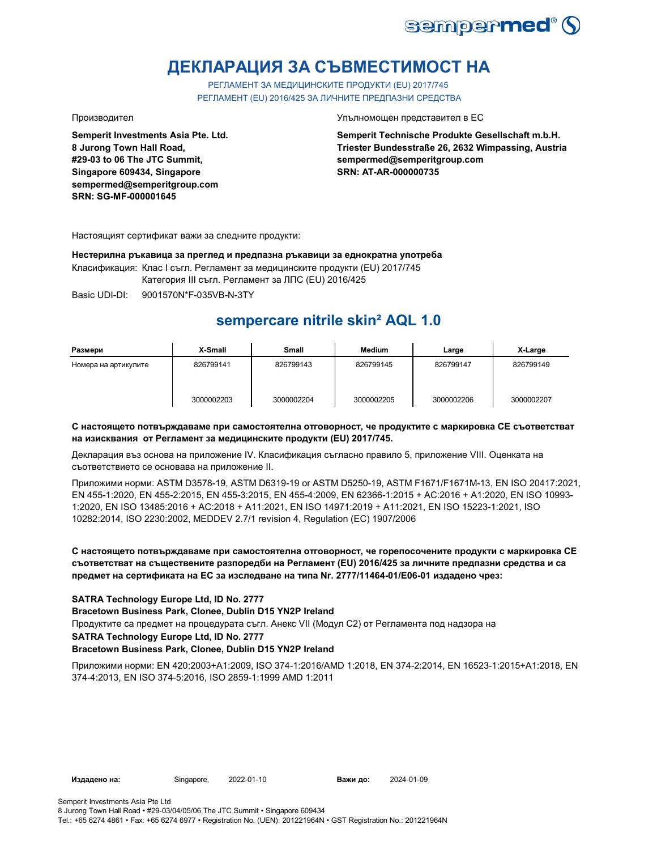

## **ДЕКЛАРАЦИЯ ЗА СЪВМЕСТИМОСТ НА**

РЕГЛАМЕНТ ЗА МЕДИЦИНСКИТЕ ПРОДУКТИ (EU) 2017/745 РЕГЛАМЕНТ (EU) 2016/425 ЗА ЛИЧНИТЕ ПРЕДПАЗНИ СРЕДСТВА

**Semperit Investments Asia Pte. Ltd. 8 Jurong Town Hall Road, #29-03 to 06 The JTC Summit, Singapore 609434, Singapore sempermed@semperitgroup.com SRN: SG-MF-000001645**

Производител Упълномощен представител в ЕС

**Semperit Technische Produkte Gesellschaft m.b.H. Triester Bundesstraße 26, 2632 Wimpassing, Austria sempermed@semperitgroup.com SRN: AT-AR-000000735**

Настоящият сертификат важи за следните продукти:

**Нестерилна ръкавица за преглед и предпазна ръкавици за еднократна употреба**

Класификация: Клас I съгл. Регламент за медицинските продукти (EU) 2017/745

Категория III съгл. Регламент за ЛПС (EU) 2016/425

Basic UDI-DI: 9001570N\*F-035VB-N-3TY

## **sempercare nitrile skin² AQL 1.0**

| Размери              | X-Small    | Small      | <b>Medium</b> | Large      | X-Large    |
|----------------------|------------|------------|---------------|------------|------------|
| Номера на артикулите | 826799141  | 826799143  | 826799145     | 826799147  | 826799149  |
|                      | 3000002203 | 3000002204 | 3000002205    | 3000002206 | 3000002207 |

### **С настоящето потвърждаваме при самостоятелна отговорност, че продуктите с маркировка СЕ съответстват на изисквания от Регламент за медицинските продукти (EU) 2017/745.**

Декларация въз основа на приложение IV. Класификация съгласно правило 5, приложение VIII. Оценката на съответствието се основава на приложение II.

Приложими норми: ASTM D3578-19, ASTM D6319-19 or ASTM D5250-19, ASTM F1671/F1671M-13, EN ISO 20417:2021, EN 455-1:2020, EN 455-2:2015, EN 455-3:2015, EN 455-4:2009, EN 62366-1:2015 + AC:2016 + A1:2020, EN ISO 10993- 1:2020, EN ISO 13485:2016 + AC:2018 + A11:2021, EN ISO 14971:2019 + A11:2021, EN ISO 15223-1:2021, ISO 10282:2014, ISO 2230:2002, MEDDEV 2.7/1 revision 4, Regulation (EC) 1907/2006

### **С настоящето потвърждаваме при самостоятелна отговорност, че горепосочените продукти с маркировка СЕ съответстват на съществените разпоредби на Регламент (EU) 2016/425 за личните предпазни средства и са предмет на сертификата на ЕС за изследване на типа Nr. 2777/11464-01/E06-01 издадено чрез:**

### **SATRA Technology Europe Ltd, ID No. 2777**

**Bracetown Business Park, Clonee, Dublin D15 YN2P Ireland**

Продуктите са предмет на процедурата съгл. Анекс VII (Модул С2) от Регламента под надзора на

#### **SATRA Technology Europe Ltd, ID No. 2777**

### **Bracetown Business Park, Clonee, Dublin D15 YN2P Ireland**

Приложими норми: EN 420:2003+A1:2009, ISO 374-1:2016/AMD 1:2018, EN 374-2:2014, EN 16523-1:2015+A1:2018, EN 374-4:2013, EN ISO 374-5:2016, ISO 2859-1:1999 AMD 1:2011

**Издадено на:** Singapore, **Важи до:**

2024-01-09